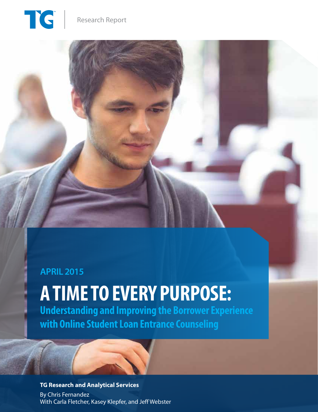TG

## **APRIL 2015**

## **A TIME TO EVERY PURPOSE: Understanding and Improving the Borrower Experience with Online Student Loan Entrance Counseling**

**TG Research and Analytical Services**  By Chris Fernandez With Carla Fletcher, Kasey Klepfer, and Jeff Webster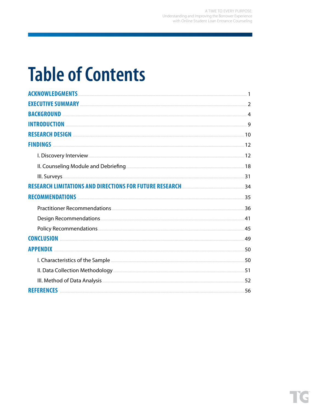A TIME TO EVERY PURPOSE: Understanding and Improving the Borrower Experience with Online Student Loan Entrance Counseling

## **Table of Contents**

| RESEARCH DESIGN <b>ELECTE DESIGN</b> 2008 2014 10 |  |
|---------------------------------------------------|--|
|                                                   |  |
|                                                   |  |
|                                                   |  |
|                                                   |  |
|                                                   |  |
|                                                   |  |
|                                                   |  |
|                                                   |  |
|                                                   |  |
|                                                   |  |
|                                                   |  |
|                                                   |  |
|                                                   |  |
|                                                   |  |
|                                                   |  |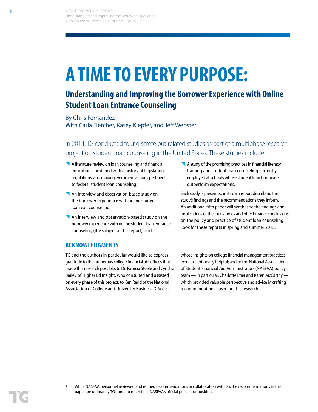# **A TIME TO EVERY PURPOSE:**

## **Understanding and Improving the Borrower Experience with Online Student Loan Entrance Counseling**

By Chris Fernandez With Carla Fletcher, Kasey Klepfer, and Jeff Webster

In 2014, TG conducted four discrete but related studies as part of a multiphase research project on student loan counseling in the United States. These studies include:

- A literature review on loan counseling and financial education, combined with a history of legislation, regulations, and major government actions pertinent to federal student loan counseling;
- An interview and observation-based study on the borrower experience with online student loan exit counseling;
- An interview and observation-based study on the borrower experience with online student loan entrance counseling (the subject of this report); and
- A study of the promising practices in financial literacy training and student loan counseling currently employed at schools whose student loan borrowers outperform expectations.

Each study is presented in its own report describing the study's findings and the recommendations they inform. An additional fifth paper will synthesize the findings and implications of the four studies and offer broader conclusions on the policy and practice of student loan counseling. Look for these reports in spring and summer 2015.

## **ACKNOWLEDGMENTS**

TG and the authors in particular would like to express gratitude to the numerous college financial aid offices that made this research possible; to Dr. Patricia Steele and Cynthia Bailey of Higher Ed Insight, who consulted and assisted on every phase of this project; to Ken Redd of the National Association of College and University Business Officers,

whose insights on college financial management practices were exceptionally helpful; and to the National Association of Student Financial Aid Administrators (NASFAA) policy team — in particular, Charlotte Etier and Karen McCarthy which provided valuable perspective and advice in crafting recommendations based on this research.<sup>1</sup>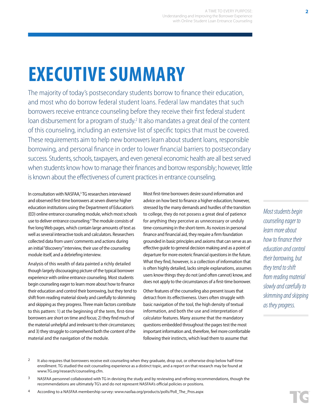# **EXECUTIVE SUMMARY**

The majority of today's postsecondary students borrow to finance their education, and most who do borrow federal student loans. Federal law mandates that such borrowers receive entrance counseling before they receive their first federal student loan disbursement for a program of study.<sup>2</sup> It also mandates a great deal of the content of this counseling, including an extensive list of specific topics that must be covered. These requirements aim to help new borrowers learn about student loans, responsible borrowing, and personal finance in order to lower financial barriers to postsecondary success. Students, schools, taxpayers, and even general economic health are all best served when students know how to manage their finances and borrow responsibly; however, little is known about the effectiveness of current practices in entrance counseling.

In consultation with NASFAA,<sup>3</sup> TG researchers interviewed and observed first-time borrowers at seven diverse higher education institutions using the Department of Education's (ED) online entrance counseling module, which most schools use to deliver entrance counseling.4 The module consists of five long Web pages, which contain large amounts of text as well as several interactive tools and calculators. Researchers collected data from users' comments and actions during an initial "discovery" interview, their use of the counseling module itself, and a debriefing interview.

Analysis of this wealth of data painted a richly detailed though largely discouraging picture of the typical borrower experience with online entrance counseling. Most students begin counseling eager to learn more about how to finance their education and control their borrowing, but they tend to shift from reading material slowly and carefully to skimming and skipping as they progress. Three main factors contribute to this pattern: 1) at the beginning of the term, first-time borrowers are short on time and focus; 2) they find much of the material unhelpful and irrelevant to their circumstances; and 3) they struggle to comprehend both the content of the material and the navigation of the module.

Most first-time borrowers desire sound information and advice on how best to finance a higher education; however, stressed by the many demands and hurdles of the transition to college, they do not possess a great deal of patience for anything they perceive as unnecessary or unduly time-consuming in the short-term. As novices in personal finance and financial aid, they require a firm foundation grounded in basic principles and axioms that can serve as an effective guide to general decision making and as a point of departure for more esoteric financial questions in the future. What they find, however, is a collection of information that is often highly detailed, lacks simple explanations, assumes users know things they do not (and often cannot) know, and does not apply to the circumstances of a first-time borrower.

Other features of the counseling also present issues that detract from its effectiveness. Users often struggle with basic navigation of the tool, the high density of textual information, and both the use and interpretation of calculator features. Many assume that the mandatory questions embedded throughout the pages test the most important information and, therefore, feel more comfortable following their instincts, which lead them to assume that

*Most students begin counseling eager to learn more about how to finance their education and control their borrowing, but they tend to shift from reading material slowly and carefully to skimming and skipping as they progress.* 

- <sup>2</sup> It also requires that borrowers receive exit counseling when they graduate, drop out, or otherwise drop below half-time enrollment. TG studied the exit counseling experience as a distinct topic, and a report on that research may be found at www.TG.org/research/counseling.cfm.
- <sup>3</sup> NASFAA personnel collaborated with TG in devising the study and by reviewing and refining recommendations, though the recommendations are ultimately TG's and do not represent NASFAA's official policies or positions.
- 4 According to a NASFAA membership survey: www.nasfaa.org/products/polls/Poll\_The\_Pros.aspx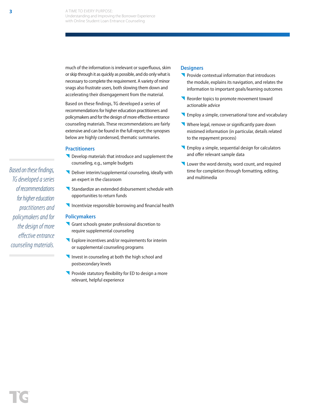much of the information is irrelevant or superfluous, skim or skip through it as quickly as possible, and do only what is necessary to complete the requirement. A variety of minor snags also frustrate users, both slowing them down and accelerating their disengagement from the material.

Based on these findings, TG developed a series of recommendations for higher education practitioners and policymakers and for the design of more effective entrance counseling materials. These recommendations are fairly extensive and can be found in the full report; the synopses below are highly condensed, thematic summaries.

## **Practitioners**

- Develop materials that introduce and supplement the counseling, e.g., sample budgets
- Deliver interim/supplemental counseling, ideally with an expert in the classroom
- Standardize an extended disbursement schedule with opportunities to return funds
- Incentivize responsible borrowing and financial health

#### **Policymakers**

- Grant schools greater professional discretion to require supplemental counseling
- **Explore incentives and/or requirements for interim** or supplemental counseling programs
- Invest in counseling at both the high school and postsecondary levels
- Provide statutory flexibility for ED to design a more relevant, helpful experience

### **Designers**

- **Provide contextual information that introduces** the module, explains its navigation, and relates the information to important goals/learning outcomes
- Reorder topics to promote movement toward actionable advice
- **Employ a simple, conversational tone and vocabulary**
- Where legal, remove or significantly pare down mistimed information (in particular, details related to the repayment process)
- **K** Employ a simple, sequential design for calculators and offer relevant sample data
- Lower the word density, word count, and required time for completion through formatting, editing, and multimedia

*Based on these findings, TG developed a series of recommendations for higher education practitioners and policymakers and for the design of more effective entrance counseling materials.*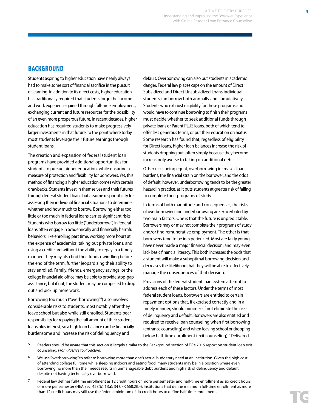## **BACKGROUND**<sup>5</sup>

Students aspiring to higher education have nearly always had to make some sort of financial sacrifice in the pursuit of learning. In addition to its direct costs, higher education has traditionally required that students forgo the income and work experience gained through full-time employment, exchanging current and future resources for the possibility of an even more prosperous future. In recent decades, higher education has required students to make progressively larger investments in that future, to the point where today most students leverage their future earnings through student loans.i

The creation and expansion of federal student loan programs have provided additional opportunities for students to pursue higher education, while ensuring a measure of protection and flexibility for borrowers. Yet, this method of financing a higher education comes with certain drawbacks. Students invest in themselves and their futures through federal student loans but assume responsibility for assessing their individual financial situations to determine whether and how much to borrow. Borrowing either too little or too much in federal loans carries significant risks. Students who borrow too little ("underborrow") in federal loans often engage in academically and financially harmful behaviors, like enrolling part time, working more hours at the expense of academics, taking out private loans, and using a credit card without the ability to repay in a timely manner. They may also find their funds dwindling before the end of the term, further jeopardizing their ability to stay enrolled. Family, friends, emergency savings, or the college financial aid office may be able to provide stop-gap assistance; but if not, the student may be compelled to drop out and pick up more work.

Borrowing too much ("overborrowing"<sup>6</sup>) also involves considerable risks to students, most notably after they leave school but also while still enrolled. Students bear responsibility for repaying the full amount of their student loans plus interest, so a high loan balance can be financially burdensome and increase the risk of delinquency and

default. Overborrowing can also put students in academic danger. Federal law places caps on the amount of Direct Subsidized and Direct Unsubsidized Loans individual students can borrow both annually and cumulatively. Students who exhaust eligibility for these programs and would have to continue borrowing to finish their programs must decide whether to seek additional funds through private loans or Parent PLUS loans, both of which tend to offer less generous terms, or put their education on hiatus. Some research has found that, regardless of eligibility for Direct loans, higher loan balances increase the risk of students dropping out, often simply because they become increasingly averse to taking on additional debt.<sup>ii</sup>

Other risks being equal, overborrowing increases loan burdens, the financial strain on the borrower, and the odds of default; however, underborrowing tends to be the greater hazard in practice, as it puts students at greater risk of failing to complete their programs of study.

In terms of both magnitude and consequences, the risks of overborrowing and underborrowing are exacerbated by two main factors. One is that the future is unpredictable. Borrowers may or may not complete their programs of study and/or find remunerative employment. The other is that borrowers tend to be inexperienced. Most are fairly young, have never made a major financial decision, and may even lack basic financial literacy. This both increases the odds that a student will make a suboptimal borrowing decision and decreases the likelihood that they will be able to effectively manage the consequences of that decision.

Provisions of the federal student loan system attempt to address each of these factors. Under the terms of most federal student loans, borrowers are entitled to certain repayment options that, if exercised correctly and in a timely manner, should minimize if not eliminate the risks of delinquency and default. Borrowers are also entitled and required to receive loan counseling when first borrowing (entrance counseling) and when leaving school or dropping below half-time enrollment (exit counseling).7 Delivered

5 Readers should be aware that this section is largely similar to the Background section of TG's 2015 report on student loan exit counseling, *From Passive to Proactive*.

- $6$  We use "overborrowing" to refer to borrowing more than one's actual budgetary need at an institution. Given the high cost of attending college full time while sleeping indoors and eating food, many students may be in a position where even borrowing no more than their needs results in unmanageable debt burdens and high risk of delinquency and default, despite not having technically overborrowed.
- $7$  Federal law defines full-time enrollment as 12 credit hours or more per semester and half-time enrollment as six credit hours or more per semester (HEA Sec. 428(b)(1)(a); 34 CFR 668.2(b)). Institutions that define minimum full-time enrollment as more than 12 credit hours may still use the federal minimum of six credit hours to define half-time enrollment.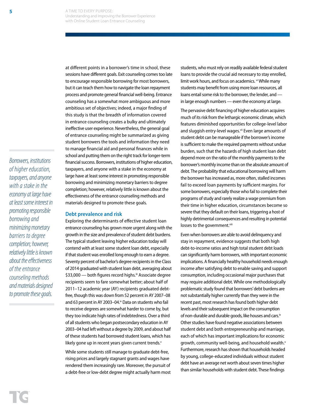*Borrowers, institutions of higher education, taxpayers, and anyone with a stake in the economy at large have at least some interest in promoting responsible borrowing and minimizing monetary barriers to degree completion; however, relatively little is known about the effectiveness of the entrance counseling methods and materials designed to promote these goals.*

at different points in a borrower's time in school, these sessions have different goals. Exit counseling comes too late to encourage responsible borrowing for most borrowers, but it can teach them how to navigate the loan repayment process and promote general financial well-being. Entrance counseling has a somewhat more ambiguous and more ambitious set of objectives; indeed, a major finding of this study is that the breadth of information covered in entrance counseling creates a bulky and ultimately ineffective user experience. Nevertheless, the general goal of entrance counseling might be summarized as giving student borrowers the tools and information they need to manage financial aid and personal finances while in school and putting them on the right track for longer-term financial success. Borrowers, institutions of higher education, taxpayers, and anyone with a stake in the economy at large have at least some interest in promoting responsible borrowing and minimizing monetary barriers to degree completion; however, relatively little is known about the effectiveness of the entrance counseling methods and materials designed to promote these goals.

Exploring the determinants of effective student loan entrance counseling has grown more urgent along with the growth in the size and prevalence of student debt burdens. The typical student leaving higher education today will contend with at least some student loan debt, especially if that student was enrolled long enough to earn a degree. Seventy percent of bachelor's degree recipients in the Class of 2014 graduated with student loan debt, averaging about \$33,000 — both figures record highs.<sup>iii</sup> Associate degree recipients seem to fare somewhat better; about half of 2011–12 academic year (AY) recipients graduated debtfree, though this was down from 52 percent in AY 2007–08 and 63 percent in AY 2003–04. $\dot{v}$  Data on students who fail to receive degrees are somewhat harder to come by, but they too indicate high rates of indebtedness. Over a third of all students who began postsecondary education in AY 2003–04 had left without a degree by 2009, and about half of these students had borrowed student loans, which has likely gone up in recent years given current trends.<sup>v</sup> While some students still manage to graduate debt-free, rising prices and largely stagnant grants and wages have rendered them increasingly rare. Moreover, the pursuit of a debt-free or low-debt degree might actually harm most

**Debt prevalence and risk**

students, who must rely on readily available federal student loans to provide the crucial aid necessary to stay enrolled, limit work hours, and focus on academics. vi While many students may benefit from using more loan resources, all loans entail some risk to the borrower, the lender, and in large enough numbers — even the economy at large.

The pervasive debt financing of higher education acquires much of its risk from the lethargic economic climate, which features diminished opportunities for college-level labor and sluggish entry-level wages.<sup>vii</sup> Even large amounts of student debt can be manageable if the borrower's income is sufficient to make the required payments without undue burden, such that the hazards of high student loan debt depend more on the ratio of the monthly payments to the borrower's monthly income than on the absolute amount of debt. The probability that educational borrowing will harm the borrower has increased as, more often, stalled incomes fail to exceed loan payments by sufficient margins. For some borrowers, especially those who fail to complete their programs of study and rarely realize a wage premium from their time in higher education, circumstances become so severe that they default on their loans, triggering a host of highly detrimental consequences and resulting in potential losses to the government.viii

Even when borrowers are able to avoid delinquency and stay in repayment, evidence suggests that both high debt-to-income ratios and high total student debt loads can significantly harm borrowers, with important economic implications. A financially healthy household needs enough income after satisfying debt to enable saving and support consumption, including occasional major purchases that may require additional debt. While one methodologically problematic study found that borrowers' debt burdens are not substantially higher currently than they were in the recent past, most research has found both higher debt levels and their subsequent impact on the consumption of non-durable and durable goods, like houses and cars.<sup>ix</sup> Other studies have found negative associations between student debt and both entrepreneurship and marriage, each of which has important implications for economic growth, community well-being, and household wealth.<sup>x</sup> Furthermore, research has shown that households headed by young, college-educated individuals without student debt have an average net worth about seven times higher than similar households with student debt. These findings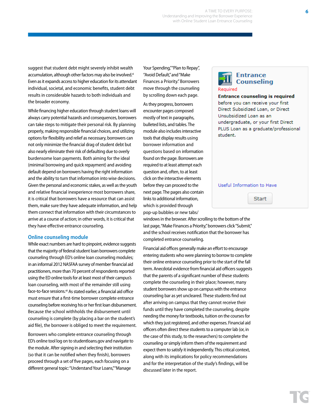A TIME TO EVERY PURPOSE: Understanding and Improving the Borrower Experience with Online Student Loan Entrance Counseling

suggest that student debt might severely inhibit wealth accumulation, although other factors may also be involved.<sup>xi</sup> Even as it expands access to higher education for its attendant individual, societal, and economic benefits, student debt results in considerable hazards to both individuals and the broader economy.

While financing higher education through student loans will always carry potential hazards and consequences, borrowers can take steps to mitigate their personal risk. By planning properly, making responsible financial choices, and utilizing options for flexibility and relief as necessary, borrowers can not only minimize the financial drag of student debt but also nearly eliminate their risk of defaulting due to overly burdensome loan payments. Both aiming for the ideal (minimal borrowing and quick repayment) and avoiding default depend on borrowers having the right information and the ability to turn that information into wise decisions. Given the personal and economic stakes, as well as the youth and relative financial inexperience most borrowers share, it is critical that borrowers have a resource that can assist them, make sure they have adequate information, and help them connect that information with their circumstances to arrive at a course of action; in other words, it is critical that they have effective entrance counseling.

#### **Online counseling module**

While exact numbers are hard to pinpoint, evidence suggests that the majority of federal student loan borrowers complete counseling through ED's online loan counseling modules; in an informal 2012 NASFAA survey of member financial aid practitioners, more than 70 percent of respondents reported using the ED online tools for at least most of their campus's loan counseling, with most of the remainder still using face-to-face sessions.<sup>xii</sup> As stated earlier, a financial aid office must ensure that a first-time borrower complete entrance counseling before receiving his or her first loan disbursement. Because the school withholds the disbursement until counseling is complete (by placing a bar on the student's aid file), the borrower is obliged to meet the requirement.

Borrowers who complete entrance counseling through ED's online tool log on to studentloans.gov and navigate to the module. After signing in and selecting their institution (so that it can be notified when they finish), borrowers proceed through a set of five pages, each focusing on a different general topic: "Understand Your Loans," "Manage

Your Spending,""Plan to Repay", "Avoid Default,"and "Make Finances a Priority." Borrowers move through the counseling by scrolling down each page.

As they progress, borrowers encounter pages composed mostly of text in paragraphs, bulleted lists, and tables. The module also includes interactive tools that display results using borrower information and questions based on information found on the page. Borrowers are required to at least attempt each question and, often, to at least click on the interactive elements before they can proceed to the next page. The pages also contain links to additional information, which is provided through pop-up bubbles or new tabs/

windows in the browser. After scrolling to the bottom of the last page, "Make Finances a Priority," borrowers click "Submit," and the school receives notification that the borrower has completed entrance counseling.

Financial aid offices generally make an effort to encourage entering students who were planning to borrow to complete their online entrance counseling prior to the start of the fall term. Anecdotal evidence from financial aid officers suggests that the parents of a significant number of these students complete the counseling in their place; however, many student borrowers show up on campus with the entrance counseling bar as yet uncleared. These students find out after arriving on campus that they cannot receive their funds until they have completed the counseling, despite needing the money for textbooks, tuition on the courses for which they just registered, and other expenses. Financial aid officers often direct these students to a computer lab (or, in the case of this study, to the researchers) to complete the counseling or simply inform them of the requirement and expect them to satisfy it independently. This critical context, along with its implications for policy recommendations and for the interpretation of the study's findings, will be discussed later in the report.

## **Entrance Counseling** Required

#### **Entrance counseling is required**

before you can receive your first Direct Subsidized Loan, or Direct Unsubsidized Loan as an undergraduate, or your first Direct PLUS Loan as a graduate/professional student.

#### Useful Information to Have

**Start**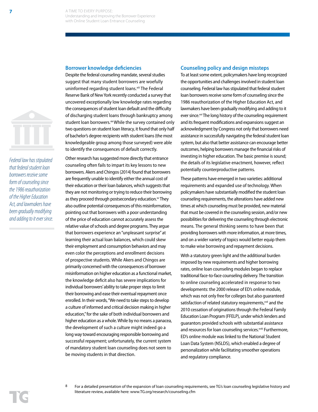### **Borrower knowledge deficiencies**



*Federal law has stipulated that federal student loan borrowers receive some form of counseling since the 1986 reauthorization of the Higher Education Act, and lawmakers have been gradually modifying and adding to it ever since.* Despite the federal counseling mandate, several studies suggest that many student borrowers are woefully uninformed regarding student loans.<sup>xiii</sup> The Federal Reserve Bank of New York recently conducted a survey that uncovered exceptionally low knowledge rates regarding the consequences of student loan default and the difficulty of discharging student loans through bankruptcy among student loan borrowers.xiv While the survey contained only two questions on student loan literacy, it found that only half of bachelor's degree recipients with student loans (the most knowledgeable group among those surveyed) were able to identify the consequences of default correctly.

Other research has suggested more directly that entrance counseling often fails to impart its key lessons to new borrowers. Akers and Chingos (2014) found that borrowers are frequently unable to identify either the annual cost of their education or their loan balances, which suggests that they are not monitoring or trying to reduce their borrowing as they proceed through postsecondary education.<sup>xv</sup> They also outline potential consequences of this misinformation, pointing out that borrowers with a poor understanding of the price of education cannot accurately assess the relative value of schools and degree programs. They argue that borrowers experience an "unpleasant surprise" at learning their actual loan balances, which could skew their employment and consumption behaviors and may even color the perceptions and enrollment decisions of prospective students. While Akers and Chingos are primarily concerned with the consequences of borrower misinformation on higher education as a functional market, the knowledge deficit also has severe implications for individual borrowers' ability to take proper steps to limit their borrowing and ease their eventual repayment once enrolled. In their words, "We need to take steps to develop a culture of informed and critical decision making in higher education," for the sake of both individual borrowers and higher education as a whole. While by no means a panacea, the development of such a culture might indeed go a long way toward encouraging responsible borrowing and successful repayment; unfortunately, the current system of mandatory student loan counseling does not seem to be moving students in that direction.

#### **Counseling policy and design missteps**

To at least some extent, policymakers have long recognized the opportunities and challenges involved in student loan counseling. Federal law has stipulated that federal student loan borrowers receive some form of counseling since the 1986 reauthorization of the Higher Education Act, and lawmakers have been gradually modifying and adding to it ever since.<sup>xvi</sup> The long history of the counseling requirement and its frequent modifications and expansions suggest an acknowledgment by Congress not only that borrowers need assistance in successfully navigating the federal student loan system, but also that better assistance can encourage better outcomes, helping borrowers manage the financial risks of investing in higher education. The basic premise is sound; the details of its legislative enactment, however, reflect potentially counterproductive patterns.

These patterns have emerged in two varieties: additional requirements and expanded use of technology. When policymakers have substantially modified the student loan counseling requirements, the alterations have added new times at which counseling must be provided, new material that must be covered in the counseling session, and/or new possibilities for delivering the counseling through electronic means. The general thinking seems to have been that providing borrowers with more information, at more times, and on a wider variety of topics would better equip them to make wise borrowing and repayment decisions.

With a statutory green light and the additional burden imposed by new requirements and higher borrowing rates, online loan counseling modules began to replace traditional face-to-face counseling delivery. The transition to online counseling accelerated in response to two developments: the 2000 release of ED's online module, which was not only free for colleges but also guaranteed satisfaction of related statutory requirements,<sup>xvii</sup> and the 2010 cessation of originations through the Federal Family Education Loan Program (FFELP), under which lenders and guarantors provided schools with substantial assistance and resources for loan counseling services.xviii Furthermore, ED's online module was linked to the National Student Loan Data System (NSLDS), which enabled a degree of personalization while facilitating smoother operations and regulatory compliance.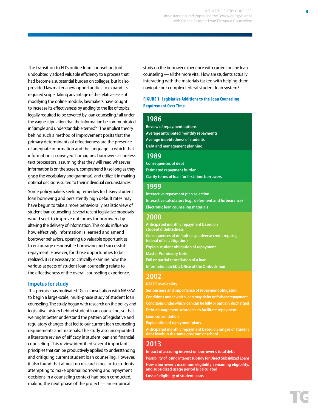A TIME TO EVERY PURPOSE: Understanding and Improving the Borrower Experience with Online Student Loan Entrance Counseling

The transition to ED's online loan counseling tool undoubtedly added valuable efficiency to a process that had become a substantial burden on colleges, but it also provided lawmakers new opportunities to expand its required scope. Taking advantage of the relative ease of modifying the online module, lawmakers have sought to increase its effectiveness by adding to the list of topics legally required to be covered by loan counseling,<sup>8</sup> all under the vague stipulation that the information be communicated in "simple and understandable terms."xix The implicit theory behind such a method of improvement posits that the primary determinants of effectiveness are the presence of adequate information and the language in which that information is conveyed. It imagines borrowers as tireless text processors, assuming that they will read whatever information is on the screen, comprehend it (so long as they grasp the vocabulary and grammar), and utilize it in making optimal decisions suited to their individual circumstances.

Some policymakers seeking remedies for heavy student loan borrowing and persistently high default rates may have begun to take a more behaviorally realistic view of student loan counseling. Several recent legislative proposals would seek to improve outcomes for borrowers by altering the delivery of information. This could influence how effectively information is learned and amend borrower behaviors, opening up valuable opportunities to encourage responsible borrowing and successful repayment. However, for those opportunities to be realized, it is necessary to critically examine how the various aspects of student loan counseling relate to the effectiveness of the overall counseling experience.

#### **Impetus for study**

This premise has motivated TG, in consultation with NASFAA, to begin a large-scale, multi-phase study of student loan counseling. The study began with research on the policy and legislative history behind student loan counseling, so that we might better understand the pattern of legislative and regulatory changes that led to our current loan counseling requirements and materials. The study also incorporated a literature review of efficacy in student loan and financial counseling. This review identified several important principles that can be productively applied to understanding and critiquing current student loan counseling. However, it also found that almost no research specific to students attempting to make optimal borrowing and repayment decisions in a counseling context had been conducted, making the next phase of the project — an empirical

study on the borrower experience with current online loan counseling — all the more vital. How are students actually interacting with the materials tasked with helping them navigate our complex federal student loan system?

### **FIGURE 1. Legislative Additions to the Loan Counseling Requirement Over Time**

## **1986**

**Review of repayment options Average anticipated monthly repayments Average indebtedness of students Debt and management planning**

## **1989**

**Consequences of debt Estimated repayment burden Clarify terms of loan for first-time borrowers**

## **1999**

**Interactive repayment plan selection Interactive calculators (e.g., deferment and forbearance) Electronic loan counseling materials** 

## **2000**

**Anticipated monthly repayment based on student indebtedness Consequences of default (e.g., adverse credit reports, federal offset, litigation) Explain student obligation of repayment Master Promissory Note Full or partial cancellation of a loan Information on ED's Office of the Ombudsman**

## **2002**

**NSLDS availability**

**Seriousness and importance of repayment obligation Conditions under which loan may defer or forbear repayment Conditions under which loan can be fully or partially discharged Debt management strategies to facilitate repayment Loan consolidation**

**Explanation of repayment plans**

**Anticipated monthly repayment based on ranges of student debt levels in the same program or school**

## **2013**

**Impact of accruing interest on borrower's total debt Possibility of losing interest subsidy for Direct Subsidized Loans How a borrower's maximum eligibility, remaining eligibility, and subsidized usage period is calculated Loss of eligibility of student loans**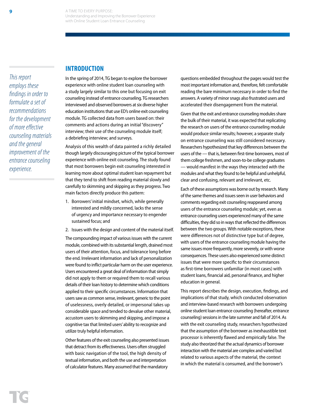**INTRODUCTION**

*This report employs these findings in order to formulate a set of recommendations for the development of more effective counseling materials and the general improvement of the entrance counseling experience.*

In the spring of 2014, TG began to explore the borrower experience with online student loan counseling with a study largely similar to this one but focusing on exit counseling instead of entrance counseling. TG researchers interviewed and observed borrowers at six diverse higher education institutions that use ED's online exit counseling module. TG collected data from users based on: their comments and actions during an initial "discovery" interview; their use of the counseling module itself; a debriefing interview; and surveys.

Analysis of this wealth of data painted a richly detailed though largely discouraging picture of the typical borrower experience with online exit counseling. The study found that most borrowers begin exit counseling interested in learning more about optimal student loan repayment but that they tend to shift from reading material slowly and carefully to skimming and skipping as they progress. Two main factors directly produce this pattern:

- 1. Borrowers' initial mindset, which, while generally interested and mildly concerned, lacks the sense of urgency and importance necessary to engender sustained focus; and
- 2. Issues with the design and content of the material itself.

The compounding impact of various issues with the current module, combined with its substantial length, drained most users of their attention, focus, and tolerance long before the end. Irrelevant information and lack of personalization were found to inflict particular harm on the user experience. Users encountered a great deal of information that simply did not apply to them or required them to recall various details of their loan history to determine which conditions applied to their specific circumstances. Information that users saw as common sense, irrelevant, generic to the point of uselessness, overly detailed, or impersonal takes up considerable space and tended to devalue other material, accustom users to skimming and skipping, and impose a cognitive tax that limited users' ability to recognize and utilize truly helpful information.

Other features of the exit counseling also presented issues that detract from its effectiveness. Users often struggled with basic navigation of the tool, the high density of textual information, and both the use and interpretation of calculator features. Many assumed that the mandatory

questions embedded throughout the pages would test the most important information and, therefore, felt comfortable reading the bare minimum necessary in order to find the answers. A variety of minor snags also frustrated users and accelerated their disengagement from the material.

Given that the exit and entrance counseling modules share the bulk of their material, it was expected that replicating the research on users of the entrance counseling module would produce similar results; however, a separate study on entrance counseling was still considered necessary. Researchers hypothesized that key differences between the users of the — that is, between first-time borrowers, most of them college freshmen, and soon-to-be college graduates — would manifest in the ways they interacted with the modules and what they found to be helpful and unhelpful, clear and confusing, relevant and irrelevant, etc.

Each of these assumptions was borne out by research. Many of the same themes and issues seen in user behaviors and comments regarding exit counseling reappeared among users of the entrance counseling module; yet, even as entrance counseling users experienced many of the same difficulties, they did so in ways that reflected the differences between the two groups. With notable exceptions, these were differences not of distinctive type but of degree, with users of the entrance counseling module having the same issues more frequently, more severely, or with worse consequences. These users also experienced some distinct issues that were more specific to their circumstances as first-time borrowers unfamiliar (in most cases) with student loans, financial aid, personal finance, and higher education in general.

This report describes the design, execution, findings, and implications of that study, which conducted observation and interview-based research with borrowers undergoing online student loan entrance counseling (hereafter, entrance counseling) sessions in the late summer and fall of 2014. As with the exit counseling study, researchers hypothesized that the assumption of the borrower as inexhaustible text processor is inherently flawed and empirically false. The study also theorized that the actual dynamics of borrower interaction with the material are complex and varied but related to various aspects of the material, the context in which the material is consumed, and the borrower's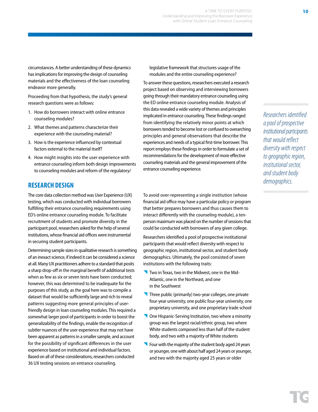circumstances. A better understanding of these dynamics has implications for improving the design of counseling materials and the effectiveness of the loan counseling endeavor more generally.

Proceeding from that hypothesis, the study's general research questions were as follows:

- 1. How do borrowers interact with online entrance counseling modules?
- 2. What themes and patterns characterize their experience with the counseling material?
- 3. How is the experience influenced by contextual factors external to the material itself?
- 4. How might insights into the user experience with entrance counseling inform both design improvements to counseling modules and reform of the regulatory/

## **RESEARCH DESIGN**

The core data collection method was User Experience (UX) testing, which was conducted with individual borrowers fulfilling their entrance counseling requirements using ED's online entrance counseling module. To facilitate recruitment of students and promote diversity in the participant pool, researchers asked for the help of several institutions, whose financial aid offices were instrumental in securing student participants.

Determining sample sizes in qualitative research is something of an inexact science, if indeed it can be considered a science at all. Many UX practitioners adhere to a standard that posits a sharp drop-off in the marginal benefit of additional tests when as few as six or seven tests have been conducted; however, this was determined to be inadequate for the purposes of this study, as the goal here was to compile a dataset that would be sufficiently large and rich to reveal patterns suggesting more general principles of userfriendly design in loan counseling modules. This required a somewhat larger pool of participants in order to boost the generalizability of the findings, enable the recognition of subtler nuances of the user experience that may not have been apparent as patterns in a smaller sample, and account for the possibility of significant differences in the user experience based on institutional and individual factors. Based on all of these considerations, researchers conducted 36 UX testing sessions on entrance counseling.

legislative framework that structures usage of the modules and the entire counseling experience?

A TIME TO EVERY PURPOSE:

Understanding and Improving the Borrower Experience with Online Student Loan Entrance Counseling

To answer these questions, researchers executed a research project based on observing and interviewing borrowers going through their mandatory entrance counseling using the ED online entrance counseling module. Analysis of this data revealed a wide variety of themes and principles implicated in entrance counseling. These findings ranged from identifying the relatively minor points at which borrowers tended to become lost or confused to overarching principles and general observations that describe the experiences and needs of a typical first-time borrower. This report employs these findings in order to formulate a set of recommendations for the development of more effective counseling materials and the general improvement of the entrance counseling experience.

To avoid over-representing a single institution (whose financial aid office may have a particular policy or program that better prepares borrowers and thus causes them to interact differently with the counseling module), a tenperson maximum was placed on the number of sessions that could be conducted with borrowers of any given college.

Researchers identified a pool of prospective institutional participants that would reflect diversity with respect to geographic region, institutional sector, and student body demographics. Ultimately, the pool consisted of seven institutions with the following traits:

- Two in Texas, two in the Midwest, one in the Mid-Atlantic, one in the Northeast, and one in the Southwest
- Three public (primarily) two-year colleges, one private four-year university, one public four-year university, one proprietary university, and one proprietary trade school
- One Hispanic-Serving Institution, two where a minority group was the largest racial/ethnic group, two where White students composed less than half of the student body, and two with a majority of White students
- **Four with the majority of the student body aged 24 years** or younger, one with about half aged 24 years or younger, and two with the majority aged 25 years or older

*Researchers identified a pool of prospective*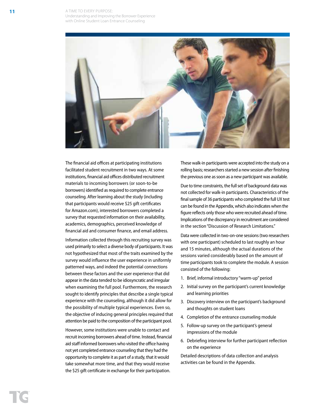A TIME TO EVERY PURPOSE: Understanding and Improving the Borrower Experience with Online Student Loan Entrance Counseling



The financial aid offices at participating institutions facilitated student recruitment in two ways. At some institutions, financial aid offices distributed recruitment materials to incoming borrowers (or soon-to-be borrowers) identified as required to complete entrance counseling. After learning about the study (including that participants would receive \$25 gift certificates for Amazon.com), interested borrowers completed a survey that requested information on their availability, academics, demographics, perceived knowledge of financial aid and consumer finance, and email address.

Information collected through this recruiting survey was used primarily to select a diverse body of participants. It was not hypothesized that most of the traits examined by the survey would influence the user experience in uniformly patterned ways, and indeed the potential connections between these factors and the user experience that did appear in the data tended to be idiosyncratic and irregular when examining the full pool. Furthermore, the research sought to identify principles that describe a single typical experience with the counseling, although it did allow for the possibility of multiple typical experiences. Even so, the objective of inducing general principles required that attention be paid to the composition of the participant pool.

However, some institutions were unable to contact and recruit incoming borrowers ahead of time. Instead, financial aid staff informed borrowers who visited the office having not yet completed entrance counseling that they had the opportunity to complete it as part of a study, that it would take somewhat more time, and that they would receive the \$25 gift certificate in exchange for their participation.

These walk-in participants were accepted into the study on a rolling basis; researchers started a new session after finishing the previous one as soon as a new participant was available.

Due to time constraints, the full set of background data was not collected for walk-in participants. Characteristics of the final sample of 36 participants who completed the full UX test can be found in the Appendix, which also indicates when the figure reflects only those who were recruited ahead of time. Implications of the discrepancy in recruitment are considered in the section "Discussion of Research Limitations."

Data were collected in two-on-one sessions (two researchers with one participant) scheduled to last roughly an hour and 15 minutes, although the actual durations of the sessions varied considerably based on the amount of time participants took to complete the module. A session consisted of the following:

- 1. Brief, informal introductory "warm-up" period
- 2. Initial survey on the participant's current knowledge and learning priorities
- 3. Discovery interview on the participant's background and thoughts on student loans
- 4. Completion of the entrance counseling module
- 5. Follow-up survey on the participant's general impressions of the module
- 6. Debriefing interview for further participant reflection on the experience

Detailed descriptions of data collection and analysis activities can be found in the Appendix.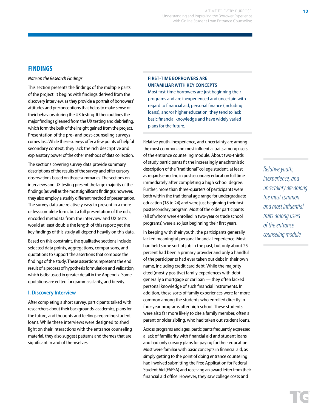## **FINDINGS**

#### *Note on the Research Findings*

This section presents the findings of the multiple parts of the project. It begins with findings derived from the discovery interview, as they provide a portrait of borrowers' attitudes and preconceptions that helps to make sense of their behaviors during the UX testing. It then outlines the major findings gleaned from the UX testing and debriefing, which form the bulk of the insight gained from the project. Presentation of the pre- and post-counseling surveys comes last. While these surveys offer a few points of helpful secondary context, they lack the rich descriptive and explanatory power of the other methods of data collection.

The sections covering survey data provide summary descriptions of the results of the survey and offer cursory observations based on those summaries. The sections on interviews and UX testing present the large majority of the findings (as well as the most significant findings); however, they also employ a starkly different method of presentation. The survey data are relatively easy to present in a more or less complete form, but a full presentation of the rich, encoded metadata from the interview and UX tests would at least double the length of this report; yet the key findings of this study all depend heavily on this data.

Based on this constraint, the qualitative sections include selected data points, aggregations, comparisons, and quotations to support the assertions that compose the findings of the study. These assertions represent the end result of a process of hypothesis formulation and validation, which is discussed in greater detail in the Appendix. Some quotations are edited for grammar, clarity, and brevity.

## **I. Discovery Interview**

After completing a short survey, participants talked with researchers about their backgrounds, academics, plans for the future, and thoughts and feelings regarding student loans. While these interviews were designed to shed light on their interactions with the entrance counseling material, they also suggest patterns and themes that are significant in and of themselves.

## **FIRST-TIME BORROWERS ARE UNFAMILIAR WITH KEY CONCEPTS**

Most first-time borrowers are just beginning their programs and are inexperienced and uncertain with regard to financial aid, personal finance (including loans), and/or higher education; they tend to lack basic financial knowledge and have widely varied plans for the future.

Relative youth, inexperience, and uncertainty are among the most common and most influential traits among users of the entrance counseling module. About two-thirds of study participants fit the increasingly anachronistic description of the "traditional" college student, at least as regards enrolling in postsecondary education full time immediately after completing a high school degree. Further, more than three-quarters of participants were both within the traditional age range for undergraduate education (18 to 24) and were just beginning their first postsecondary program. Most of the older participants (all of whom were enrolled in two-year or trade school programs) were also just beginning their first years.

In keeping with their youth, the participants generally lacked meaningful personal financial experience. Most had held some sort of job in the past, but only about 25 percent had been a primary provider and only a handful of the participants had ever taken out debt in their own name, including credit card debt. While the majority cited (mostly positive) family experiences with debt generally a mortgage or car loan — they often lacked personal knowledge of such financial instruments. In addition, these sorts of family experiences were far more common among the students who enrolled directly in four-year programs after high school. These students were also far more likely to cite a family member, often a parent or older sibling, who had taken out student loans.

Across programs and ages, participants frequently expressed a lack of familiarity with financial aid and student loans and had only cursory plans for paying for their education. Most were familiar with basic concepts in financial aid, as simply getting to the point of doing entrance counseling had involved submitting the Free Application for Federal Student Aid (FAFSA) and receiving an award letter from their financial aid office. However, they saw college costs and

*Relative youth, inexperience, and uncertainty are among the most common and most influential traits among users of the entrance counseling module.*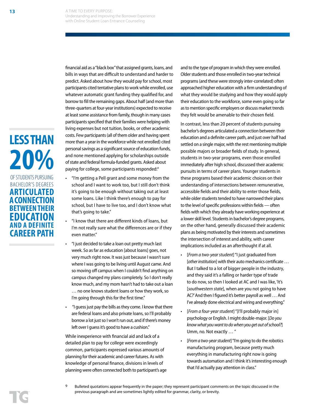**LESS THAN 20%** OF STUDENTS PURSUING BACHELOR'S DEGREES **ARTICULATED A CONNECTION BETWEEN THEIR EDUCATION AND A DEFINITE CAREER PATH**

financial aid as a "black box" that assigned grants, loans, and bills in ways that are difficult to understand and harder to predict. Asked about how they would pay for school, most participants cited tentative plans to work while enrolled, use whatever automatic grant funding they qualified for, and borrow to fill the remaining gaps. About half (and more than three-quarters at four-year institutions) expected to receive at least some assistance from family, though in many cases participants specified that their families were helping with living expenses but not tuition, books, or other academic costs. Few participants (all of them older and having spent more than a year in the workforce while not enrolled) cited personal savings as a significant source of education funds, and none mentioned applying for scholarships outside of state and federal formula-funded grants. Asked about paying for college, some participants responded:<sup>9</sup>

- "I'm getting a Pell grant and some money from the school and I want to work too, but I still don't think it's going to be enough without taking out at least some loans. Like I think there's enough to pay for school, but I have to live too, and I don't know what that's going to take."
- "I know that there are different kinds of loans, but I'm not really sure what the differences are or if they even matter."
- "I just decided to take a loan out pretty much last week. So as far as education [about loans] goes, not very much right now. It was just because I wasn't sure where I was going to be living until August came. And so moving off campus when I couldn't find anything on campus changed my plans completely. So I don't really know much, and my mom hasn't had to take out a loan … no one knows student loans or how they work, so I'm going through this for the first time."
- "I guess just pay the bills as they come. I know that there are federal loans and also private loans, so I'll probably borrow a lot just so I won't run out, and if there's money left over I guess it's good to have a cushion."

While inexperience with financial aid and lack of a detailed plan to pay for college were exceedingly common, participants expressed various amounts of planning for their academic and career futures. As with knowledge of personal finance, divisions in levels of planning were often connected both to participant's age

and to the type of program in which they were enrolled. Older students and those enrolled in two-year technical programs (and these were strongly inter-correlated) often approached higher education with a firm understanding of what they would be studying and how they would apply their education to the workforce, some even going so far as to mention specific employers or discuss market trends they felt would be amenable to their chosen field.

In contrast, less than 20 percent of students pursuing bachelor's degrees articulated a connection between their education and a definite career path, and just over half had settled on a single major, with the rest mentioning multiple possible majors or broader fields of study. In general, students in two-year programs, even those enrolled immediately after high school, discussed their academic pursuits in terms of career plans. Younger students in these programs based their academic choices on their understanding of intersections between remunerative, accessible fields and their ability to enter those fields, while older students tended to have narrowed their plans to the level of specific professions within fields — often fields with which they already have working experience at a lower skill level. Students in bachelor's degree programs, on the other hand, generally discussed their academic plans as being motivated by their interests and sometimes the intersection of interest and ability, with career implications included as an afterthought if at all.

- [*From a two-year student*] "I just graduated from [*other institution*] with their auto mechanics certificate … But I talked to a lot of bigger people in the industry, and they said it's a falling or harder type of trade to do now, so then I looked at AC and I was like, 'It's [*southwestern state*], when are you not going to have AC?' And then I figured it's better payroll as well … And I've already done electrical and wiring and everything."
- [*From a four-year student*] "[I'll probably major in] psychology or English. I might double-major. [*Do you know what you want to do when you get out of school?*] Umm, no. Not exactly … "
- [*From a two-year student*] "I'm going to do the robotics manufacturing program, because pretty much everything in manufacturing right now is going towards automation and I think it's interesting enough that I'd actually pay attention in class."

<sup>9</sup> Bulleted quotations appear frequently in the paper; they represent participant comments on the topic discussed in the previous paragraph and are sometimes lightly edited for grammar, clarity, or brevity.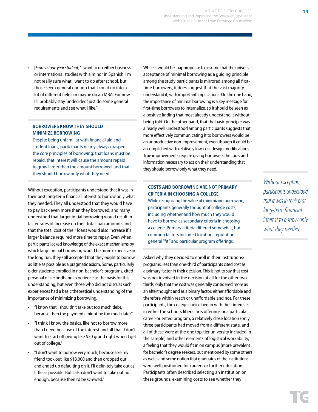• [*From a four-year student*] "I want to do either business or international studies with a minor in Spanish. I'm not really sure what I want to do after school, but those seem general enough that I could go into a lot of different fields or maybe do an MBA. For now I'll probably stay 'undecided,' just do some general requirements and see what I like."

## **BORROWERS KNOW THEY SHOULD MINIMIZE BORROWING**

Despite being unfamiliar with financial aid and student loans, participants nearly always grasped the core principles of borrowing: that loans must be repaid, that interest will cause the amount repaid to grow larger than the amount borrowed, and that they should borrow only what they need.

Without exception, participants understood that it was in their best long-term financial interest to borrow only what they needed. They all understood that they would have to pay back even more than they borrowed, and many understood that larger initial borrowing would result in faster rates of increase on their total loan amounts and that the total cost of their loans would also increase if a larger balance required more time to repay. Even when participants lacked knowledge of the exact mechanisms by which larger initial borrowing would be more expensive in the long run, they still accepted that they ought to borrow as little as possible as a pragmatic axiom. Some, particularly older students enrolled in non-bachelor's programs, cited personal or secondhand experience as the basis for this understanding, but even those who did not discuss such experiences had a basic theoretical understanding of the importance of minimizing borrowing.

- "I know that I shouldn't take out too much debt, because then the payments might be too much later."
- "I think I know the basics, like not to borrow more than I need because of the interest and all that. I don't want to start off owing like \$50 grand right when I get out of college."
- "I don't want to borrow very much, because like my friend took out like \$18,000 and then dropped out and ended up defaulting on it. I'll definitely take out as little as possible. But I also don't want to take out not enough, because then I'd be screwed."

While it would be inappropriate to assume that the universal acceptance of minimal borrowing as a guiding principle among the study participants is mirrored among all firsttime borrowers, it does suggest that the vast majority understand it, with important implications. On the one hand, the importance of minimal borrowing is a key message for first-time borrowers to internalize, so it should be seen as a positive finding that most already understand it without being told. On the other hand, that the basic principle was already well understood among participants suggests that more effectively communicating it to borrowers would be an unproductive non-improvement, even though it could be accomplished with relatively low-cost design modifications. True improvements require giving borrowers the tools and information necessary to act on their understanding that they should borrow only what they need.

## **COSTS AND BORROWING ARE NOT PRIMARY CRITERIA IN CHOOSING A COLLEGE**

While recognizing the value of minimizing borrowing, participants generally thought of college costs, including whether and how much they would have to borrow, as secondary criteria in choosing a college. Primary criteria differed somewhat, but common factors included location, reputation, general "fit," and particular program offerings.

Asked why they decided to enroll in their institutions/ programs, less than one-third of participants cited cost as a primary factor in their decision. This is not to say that cost was not involved in the decision at all for the other two thirds, only that the cost was generally considered more as an afterthought and as a binary factor: either affordable and therefore within reach or unaffordable and not. For these participants, the college choice began with their interests in either the school's liberal arts offerings or a particular, career-oriented program, a relatively close location (only three participants had moved from a different state, and all of these were at the one top-tier university included in the sample) and other elements of logistical workability, a feeling that they would fit in on campus (more prevalent for bachelor's degree seekers, but mentioned by some others as well), and some notion that graduates of the institutions were well positioned for careers or further education. Participants often described selecting an institution on these grounds, examining costs to see whether they

*Without exception, participants understood that it was in their best long-term financial interest to borrow only what they needed.*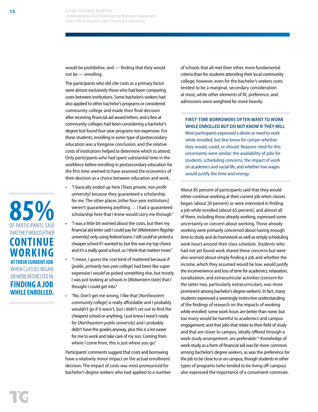would be prohibitive, and — finding that they would not be — enrolling.

The participants who did cite costs as a primary factor were almost exclusively those who had been comparing costs between institutions. Some bachelor's seekers had also applied to other bachelor's programs or considered community college and made their final decision after receiving financial aid award letters; and a few at community colleges had been considering a bachelor's degree but found four-year programs too expensive. For these students, enrolling in some type of postsecondary education was a foregone conclusion, and the relative costs of institutions helped to determine which to attend. Only participants who had spent substantial time in the workforce before enrolling in postsecondary education for the first time seemed to have assessed the economics of their decision as a choice between education and work.

- "I basically ended up here [*Texas private, non-profit university*] because they guaranteed a scholarship for me. The other places [*other four-year institutions*] weren't guaranteeing anything … I had a guaranteed scholarship here that I knew would carry me through."
- "I was a little bit worried about the costs, but then my financial aid letter said I could pay for [*Midwestern flagship university*] only using federal loans. I still could've picked a cheaper school if I wanted to, but this was my top choice and it's a really good school, so I think that matters more."
- "I mean, I guess the cost kind of mattered because if [*public, primarily two-year college*] had been like super expensive I would've picked something else, but mostly I was just looking at schools in [*Midwestern state*] that I thought I could get into."
- "No. Don't get me wrong, I like that [*Northeastern community college*] is really affordable and I probably wouldn't go if it wasn't, but I didn't set out to find the cheapest school or anything. I just knew I wasn't ready for [*Northeastern public university*] and I probably didn't have the grades anyway, plus this is a lot easier for me to work and take care of my son. Coming from where I come from, this is just where you go."

Participants' comments suggest that costs and borrowing have a relatively minor impact on the actual enrollment decision. The impact of costs was most pronounced for bachelor's degree seekers who had applied to a number of schools that all met their other, more fundamental criteria than for students attending their local community college; however, even for the bachelor's seekers costs tended to be a marginal, secondary consideration at most, while other elements of fit, preference, and admissions were weighted far more heavily.

## **FIRST-TIME BORROWERS OFTEN WANT TO WORK WHILE ENROLLED BUT DO NOT KNOW IF THEY WILL**

Most participants expressed a desire or need to work while enrolled, but few knew for certain whether they would, could, or should. Reasons cited for this uncertainty were similar: the availability of jobs for students, scheduling concerns, the impact of work on academics and social life, and whether low wages would justify the time and energy.

About 85 percent of participants said that they would either continue working at their current job when classes began (about 20 percent) or were interested in finding a job while enrolled (about 65 percent), and almost all of them, including those already working, expressed some uncertainty or concern about working. Those already working were primarily concerned about having enough time to study and do homework as well as simply scheduling work hours around their class schedule. Students who had not yet found work shared these concerns but were also worried about simply finding a job and whether the income, which they assumed would be low, would justify the inconvenience and loss of time for academics, relaxation, socialization, and extracurricular activities (concern for the latter two, particularly extracurriculars, was more prominent among bachelor's degree seekers). In fact, many students expressed a seemingly instinctive understanding of the findings of research on the impacts of working while enrolled: some work hours are better than none, but too many would be harmful to academics and campus engagement; and that jobs that relate to their field of study and that are closer to campus, ideally offered through a work-study arrangement, are preferable.xx Knowledge of work-study as a form of financial aid was far more common among bachelor's degree seekers, as was the preference for the job to be close to or on campus, though students in other types of programs (who tended to be living off-campus) also expressed the importance of a convenient commute.

**85%** OF PARTICIPANTS SAID THAT THEY WOULD EITHER **CONTINUE WORKING AT THEIR CURRENT JOB**  WHEN CLASSES BEGAN OR WERE INTERESTED IN **FINDING A JOB WHILE ENROLLED.**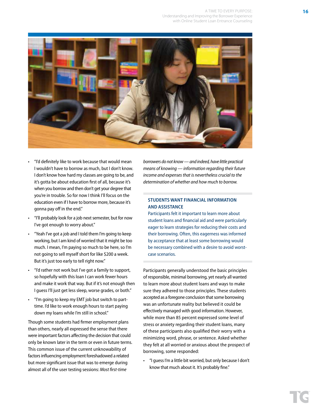

- "I'd definitely like to work because that would mean I wouldn't have to borrow as much, but I don't know. I don't know how hard my classes are going to be, and it's gotta be about education first of all, because it's when you borrow and then don't get your degree that you're in trouble. So for now I think I'll focus on the education even if I have to borrow more, because it's gonna pay off in the end."
- "I'll probably look for a job next semester, but for now I've got enough to worry about."
- "Yeah I've got a job and I told them I'm going to keep working, but I am kind of worried that it might be too much. I mean, I'm paying so much to be here, so I'm not going to sell myself short for like \$200 a week. But it's just too early to tell right now."
- "I'd rather not work but I've got a family to support, so hopefully with this loan I can work fewer hours and make it work that way. But if it's not enough then I guess I'll just get less sleep, worse grades, or both."
- "I'm going to keep my EMT job but switch to parttime. I'd like to work enough hours to start paying down my loans while I'm still in school."

Though some students had firmer employment plans than others, nearly all expressed the sense that there were important factors affecting the decision that could only be known later in the term or even in future terms. This common issue of the current unknowability of factors influencing employment foreshadowed a related but more significant issue that was to emerge during almost all of the user testing sessions: *Most first-time* 

*borrowers do not know — and indeed, have little practical means of knowing — information regarding their future income and expenses that is nevertheless crucial to the determination of whether and how much to borrow.*

## **STUDENTS WANT FINANCIAL INFORMATION AND ASSISTANCE**

Participants felt it important to learn more about student loans and financial aid and were particularly eager to learn strategies for reducing their costs and their borrowing. Often, this eagerness was informed by acceptance that at least some borrowing would be necessary combined with a desire to avoid worstcase scenarios.

Participants generally understood the basic principles of responsible, minimal borrowing, yet nearly all wanted to learn more about student loans and ways to make sure they adhered to those principles. These students accepted as a foregone conclusion that some borrowing was an unfortunate reality but believed it could be effectively managed with good information. However, while more than 85 percent expressed some level of stress or anxiety regarding their student loans, many of these participants also qualified their worry with a minimizing word, phrase, or sentence. Asked whether they felt at all worried or anxious about the prospect of borrowing, some responded:

• "I guess I'm a little bit worried, but only because I don't know that much about it. It's probably fine."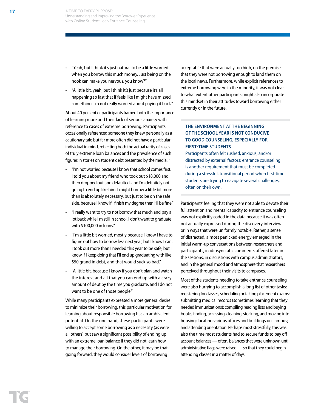- "Yeah, but I think it's just natural to be a little worried when you borrow this much money. Just being on the hook can make you nervous, you know?"
- "A little bit, yeah, but I think it's just because it's all happening so fast that if feels like I might have missed something. I'm not really worried about paying it back."

About 40 percent of participants framed both the importance of learning more and their lack of serious anxiety with reference to cases of extreme borrowing. Participants occasionally referenced someone they knew personally as a cautionary tale but far more often did not have a particular individual in mind, reflecting both the actual rarity of cases of truly extreme loan balances and the prevalence of such figures in stories on student debt presented by the media.<sup>xxi</sup>

- "I'm not worried because I know that school comes first. I told you about my friend who took out \$18,000 and then dropped out and defaulted, and I'm definitely not going to end up like him. I might borrow a little bit more than is absolutely necessary, but just to be on the safe side, because I know if I finish my degree then I'll be fine."
- "I really want to try to not borrow that much and pay a lot back while I'm still in school. I don't want to graduate with \$100,000 in loans."
- "I'm a little bit worried, mostly because I know I have to figure out how to borrow less next year, but I know I can. I took out more than I needed this year to be safe, but I know if I keep doing that I'll end up graduating with like \$50 grand in debt, and that would suck so bad."
- "A little bit, because I know if you don't plan and watch the interest and all that you can end up with a crazy amount of debt by the time you graduate, and I do not want to be one of those people."

While many participants expressed a more general desire to minimize their borrowing, this particular motivation for learning about responsible borrowing has an ambivalent potential. On the one hand, these participants were willing to accept some borrowing as a necessity (as were all others) but saw a significant possibility of ending up with an extreme loan balance if they did not learn how to manage their borrowing. On the other, it may be that, going forward, they would consider levels of borrowing

acceptable that were actually too high, on the premise that they were not borrowing enough to land them on the local news. Furthermore, while explicit references to extreme borrowing were in the minority, it was not clear to what extent other participants might also incorporate this mindset in their attitudes toward borrowing either currently or in the future.

## **THE ENVIRONMENT AT THE BEGINNING OF THE SCHOOL YEAR IS NOT CONDUCIVE TO GOOD COUNSELING, ESPECIALLY FOR FIRST-TIME STUDENTS**

Participants often felt rushed, anxious, and/or distracted by external factors; entrance counseling is another requirement that must be completed during a stressful, transitional period when first-time students are trying to navigate several challenges, often on their own.

Participants' feeling that they were not able to devote their full attention and mental capacity to entrance counseling was not explicitly coded in the data because it was often not actually expressed during the discovery interview or in ways that were uniformly notable. Rather, a sense of distracted, almost panicked energy emerged in the initial warm-up conversations between researchers and participants, in idiosyncratic comments offered later in the sessions, in discussions with campus administrators, and in the general mood and atmosphere that researchers perceived throughout their visits to campuses.

Most of the students needing to take entrance counseling were also hurrying to accomplish a long list of other tasks: registering for classes; scheduling or taking placement exams; submitting medical records (sometimes learning that they needed immunizations); compiling reading lists and buying books; finding, accessing, cleaning, stocking, and moving into housing; locating various offices and buildings on campus; and attending orientation. Perhaps most stressfully, this was also the time most students had to secure funds to pay off account balances — often, balances that were unknown until administrative flags were raised — so that they could begin attending classes in a matter of days.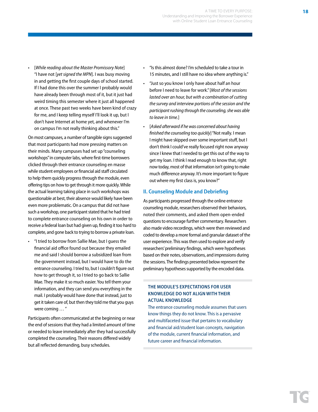• [*While reading about the Master Promissory Note*] "I have not [*yet signed the MPN*]. I was busy moving in and getting the first couple days of school started. If I had done this over the summer I probably would have already been through most of it, but it just had weird timing this semester where it just all happened at once. These past two weeks have been kind of crazy for me, and I keep telling myself I'll look it up, but I don't have Internet at home yet, and whenever I'm on campus I'm not really thinking about this."

On most campuses, a number of tangible signs suggested that most participants had more pressing matters on their minds. Many campuses had set up "counseling workshops" in computer labs, where first-time borrowers clicked through their entrance counseling en masse while student employees or financial aid staff circulated to help them quickly progress through the module, even offering tips on how to get through it more quickly. While the actual learning taking place in such workshops was questionable at best, their absence would likely have been even more problematic. On a campus that did not have such a workshop, one participant stated that he had tried to complete entrance counseling on his own in order to receive a federal loan but had given up, finding it too hard to complete, and gone back to trying to borrow a private loan.

• "I tried to borrow from Sallie Mae, but I guess the financial aid office found out because they emailed me and said I should borrow a subsidized loan from the government instead, but I would have to do the entrance counseling. I tried to, but I couldn't figure out how to get through it, so I tried to go back to Sallie Mae. They make it so much easier. You tell them your information, and they can send you everything in the mail. I probably would have done that instead, just to get it taken care of, but then they told me that you guys were coming … "

Participants often communicated at the beginning or near the end of sessions that they had a limited amount of time or needed to leave immediately after they had successfully completed the counseling. Their reasons differed widely but all reflected demanding, busy schedules.

- "Is this almost done? I'm scheduled to take a tour in 15 minutes, and I still have no idea where anything is."
- "Just so you know I only have about half an hour before I need to leave for work." [*Most of the sessions lasted over an hour, but with a combination of cutting the survey and interview portions of the session and the participant rushing through the counseling, she was able to leave in time.*]
- [*Asked afterward if he was concerned about having finished the counseling too quickly*] "Not really. I mean I might have skipped over some important stuff, but I don't think I could've really focused right now anyway since I knew that I needed to get this out of the way to get my loan. I think I read enough to know that, right now today, most of that information isn't going to make much difference anyway. It's more important to figure out where my first class is, you know?"

### **II. Counseling Module and Debriefing**

As participants progressed through the online entrance counseling module, researchers observed their behaviors, noted their comments, and asked them open-ended questions to encourage further commentary. Researchers also made video recordings, which were then reviewed and coded to develop a more formal and granular dataset of the user experience. This was then used to explore and verify researchers' preliminary findings, which were hypotheses based on their notes, observations, and impressions during the sessions. The findings presented below represent the preliminary hypotheses supported by the encoded data.

## **THE MODULE'S EXPECTATIONS FOR USER KNOWLEDGE DO NOT ALIGN WITH THEIR ACTUAL KNOWLEDGE**

The entrance counseling module assumes that users know things they do not know. This is a pervasive and multifaceted issue that pertains to vocabulary and financial aid/student loan concepts, navigation of the module, current financial information, and future career and financial information.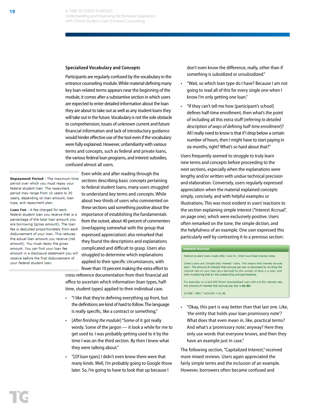#### **Specialized Vocabulary and Concepts**

Participants are regularly confused by the vocabulary in the entrance counseling module. While material defining many key loan-related terms appears near the beginning of the module, it comes after a substantive section in which users are expected to enter detailed information about the loan they are about to take out as well as any student loans they will take out in the future. Vocabulary is not the sole obstacle to comprehension; issues of unknown current and future financial information and lack of introductory guidance would hinder effective use of the tool even if the vocabulary were fully explained. However, unfamiliarity with various terms and concepts, such as federal and private loans, the various federal loan programs, and interest subsidies, confused almost all users.

**Repayment Period - The maximum time** period over which you must repay your federal student loan. The repayment period may range from 10 years to 30 years, depending on loan amount, loan type, and repayment plan.

Loan Fee - A fee charged for each federal student loan you receive that is a percentage of the total loan amount you are borrowing (gross amount). The loan fee is deducted proportionately from each disbursement of your loan. This reduces the actual loan amount you receive (net amount). You must repay the gross amount. You can find your loan fee amount in a disclosure statement you will receive before the first disbursement of your federal student loan.

Even while and after reading through the sections describing basic concepts pertaining to federal student loans, many users struggled to understand key terms and concepts. While about two-thirds of users who commented on these sections said something positive about the importance of establishing the fundamentals from the outset, about 40 percent of commenters (overlapping somewhat with the group that expressed appreciation) also remarked that they found the descriptions and explanations complicated and difficult to grasp. Users also struggled to determine which explanations applied to their specific circumstances, with fewer than 10 percent making the extra effort to

cross-reference documentation from their financial aid office to ascertain which information (loan types, halftime, student types) applied to their individual case.

- "I like that they're defining everything up front, but the definitions are kind of hard to follow. The language is really specific, like a contract or something."
- [*After finishing the module*] "Some of it got really wordy. Some of the jargon — it look a while for me to get used to. I was probably getting used to it by the time I was on the third section. By then I knew what they were talking about."
- "[*Of loan types*] I didn't even know there were that many kinds. Well, I'm probably going to Google those later. So, I'm going to have to look that up because I

don't even know the difference, really, other than if something is subsidized or unsubsidized."

- "Wait, so which loan type do I have? Because I am not going to read all of this for every single one when I know I'm only getting one loan."
- "If they can't tell me how [participant's school] defines half-time enrollment, then what's the point of including all this extra stuff [*referring to detailed description of ways of defining half-time enrollment*]? All I really need to know is that if I drop below a certain number of hours, then I might have to start paying in six months, right? What's so hard about that?"

Users frequently seemed to struggle to truly learn new terms and concepts before proceeding to the next sections, especially when the explanations were lengthy and/or written with undue technical precision and elaboration. Conversely, users regularly expressed appreciation when the material explained concepts simply, concisely, and with helpful examples or illustrations. This was most evident in users' reactions to the section explaining simple interest ("Interest Accrual", on page one), which were exclusively positive. Users often remarked on the tone, the simple diction, and the helpfulness of an example. One user expressed this particularly well by contrasting it to a previous section:

#### **Interest Accrual**

Federal student loans made after June 30, 2006 have fixed interest rates.

Direct Loans are "simple daily interest" loans. This means that interest accrues daily. The amount of interest that accrues per day is calculated by dividing the interest rate on your loan (as a decimal) by the number of days in a year, and then multiplying that by the outstanding principal balance.

For example, on a \$10,000 Direct Unsubsidized Loan with a 6.8% interest rate, the amount of interest that accrues per day is \$1.86:

#### $(0.068 / 365)$  \* \$10,000 = \$1.86

• "Okay, this part is way better than that last one. Like, 'the entity that holds your loan promissory note'? What does that even mean in, like, practical terms? And what's a 'promissory note,' anyway? Here they only use words that everyone knows, and then they have an example just in case."

The following section, "Capitalized Interest," received more mixed reviews. Users again appreciated the fairly simple terms and the inclusion of an example. However, borrowers often became confused and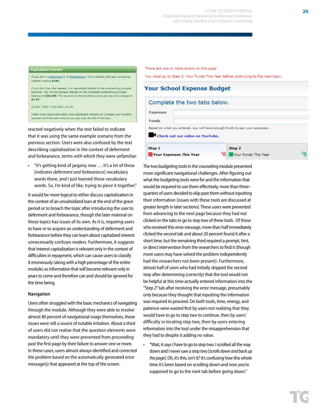#### **Capitalized Interest**

If you are in a deferment in or forbearance in for 6 months, the loan will accrue erest totaling \$340.

If you don't pay the interest, it is capitalized (added to the outstanding principal balance). You w ill be charged interest on the increased outstanding principal balance of \$10,340. The amount of interest that accrues per day will increase to \$1.93:

 $(0.068 / 365)$  = \$10,340 = \$1.93

Under most repayment plans, this capitalized interest will increase your monthly payment and the total amount you pay over the life of the loan.

reacted negatively when the text failed to indicate that it was using the same example scenario from the previous section. Users were also confused by the text describing capitalization in the context of deferment and forbearance, terms with which they were unfamiliar.

• "It's getting kind of jargony now … it's a lot of these [*indicates deferment and forbearance*] vocabulary words there, and I just learned those vocabulary words. So, I'm kind of like, trying to piece it together."

It would be more logical to either discuss capitalization in the context of an unsubsidized loan at the end of the grace period or to broach the topic after introducing the user to deferment and forbearance, though the later material on those topics has issues of its own. As it is, requiring users to have or to acquire an understanding of deferment and forbearance before they can learn about capitalized interest unnecessarily confuses readers. Furthermore, it suggests that interest capitalization is relevant only in the context of difficulties in repayment, which can cause users to classify it erroneously (along with a high percentage of the entire module) as information that will become relevant only in years to come and therefore can and should be ignored for the time being.

#### **Navigation**

Users often struggled with the basic mechanics of navigating through the module. Although they were able to resolve almost 80 percent of navigational snags themselves, these issues were still a source of notable irritation. About a third of users did not realize that the question elements were mandatory until they were prevented from proceeding past the first page by their failure to answer one or more. In these cases, users almost always identified and corrected the problem based on the automatically generated error message(s) that appeared at the top of the screen.

There are one or more errors on this page

You must go to Step 2: Your Funds This Year before continuing to the next topic.

| <b>Your School Expense Budget</b>        |                                                                                                                |        |                      |  |
|------------------------------------------|----------------------------------------------------------------------------------------------------------------|--------|----------------------|--|
|                                          | Complete the two tabs below.                                                                                   |        |                      |  |
| <b>Expenses</b>                          |                                                                                                                |        |                      |  |
| <b>Funds</b>                             |                                                                                                                |        |                      |  |
|                                          | Based on what you entered, you will have enough funds to pay your expenses.<br>Check out our video on YouTube. |        |                      |  |
| Step 1<br><b>Your Expenses This Year</b> |                                                                                                                | Step 2 | Your Funds This Year |  |

The two budgeting tools in the counseling module presented more significant navigational challenges. After figuring out what the budgeting tools were for and the information that would be required to use them effectively, more than threequarters of users decided to skip past them without inputting their information (issues with these tools are discussed at greater length in later sections). These users were prevented from advancing to the next page because they had not clicked on the tabs to go to step two of these tools . Of those who received this error message, more than half immediately clicked the second tab and about 20 percent found it after a short time, but the remaining third required a prompt, hint, or direct intervention from the researchers to find it (though more users may have solved the problem independently had the researchers not been present). Furthermore, almost half of users who had initially skipped the second step after determining (correctly) that the tool would not be helpful at this time actually entered information into the "Step 2" tab after receiving the error message, presumably only because they thought that inputting the information was required to proceed. On both tools, time, energy, and patience were wasted first by users not realizing that they would have to go to step two to continue, then by users' difficulty in locating step two, then by users entering information into the tool under the misapprehension that they had to despite it adding no value.

• "Wait, it says I have to go to step two. I scrolled all the way down and I never saw a step two [*scrolls down and back up the page*]. Oh, it's this, isn't it? It's confusing how this whole time it's been based on scrolling down and now you're supposed to go to the next tab before going down."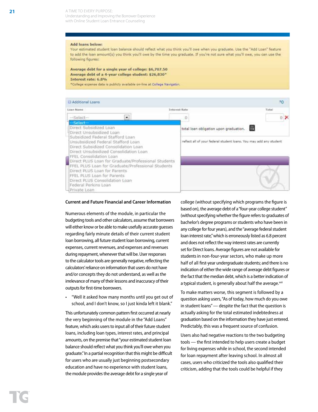Understanding and Improving the Borrower Experience with Online Student Loan Entrance Counseling

#### **Add loans below:**

Your estimated student loan balance should reflect what you think you'll owe when you graduate. Use the "Add Loan" feature to add the loan amount(s) you think you'll owe by the time you graduate. If you're not sure what you'll owe, you can use the following figures:

#### Average debt for a single year of college: \$6,707.50 Average debt of a 4-year college student: \$26,830\* Interest rate: 6,8%

\*College expense data is publicly available on-line at College Navigator.



#### **Current and Future Financial and Career Information**

Numerous elements of the module, in particular the budgeting tools and other calculators, assume that borrowers will either know or be able to make usefully accurate guesses regarding fairly minute details of their current student loan borrowing, all future student loan borrowing, current expenses, current revenues, and expenses and revenues during repayment, whenever that will be. User responses to the calculator tools are generally negative, reflecting the calculators' reliance on information that users do not have and/or concepts they do not understand, as well as the irrelevance of many of their lessons and inaccuracy of their outputs for first-time borrowers.

• "Well it asked how many months until you get out of school, and I don't know, so I just kinda left it blank."

This unfortunately common pattern first occurred at nearly the very beginning of the module in the "Add Loans" feature, which asks users to input all of their future student loans, including loan types, interest rates, and principal amounts, on the premise that "your estimated student loan balance should reflect what you think you'll owe when you graduate." In a partial recognition that this might be difficult for users who are usually just beginning postsecondary education and have no experience with student loans, the module provides the average debt for a single year of

college (without specifying which programs the figure is based on), the average debt of a "four-year college student" (without specifying whether the figure refers to graduates of bachelor's degree programs or students who have been in any college for four years), and the "average federal student loan interest rate," which is erroneously listed as 6.8 percent and does not reflect the way interest rates are currently set for Direct loans. Average figures are not available for students in non-four-year sectors, who make up more half of all first-year undergraduate students; and there is no indication of either the wide range of average debt figures or the fact that the median debt, which is a better indication of a typical student, is generally about half the average.xxii

To make matters worse, this segment is followed by a question asking users, "As of today, how much do you owe in student loans" — despite the fact that the question is actually asking for the total estimated indebtedness at graduation based on the information they have just entered. Predictably, this was a frequent source of confusion.

Users also had negative reactions to the two budgeting tools — the first intended to help users create a budget for living expenses while in school, the second intended for loan repayment after leaving school. In almost all cases, users who criticized the tools also qualified their criticism, adding that the tools could be helpful if they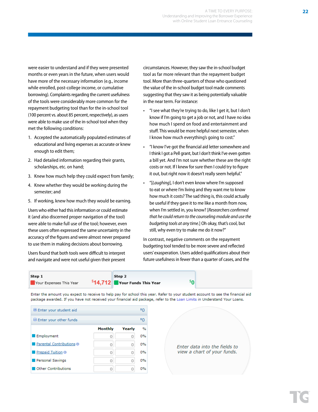were easier to understand and if they were presented months or even years in the future, when users would have more of the necessary information (e.g., income while enrolled, post-college income, or cumulative borrowing). Complaints regarding the current usefulness of the tools were considerably more common for the repayment budgeting tool than for the in-school tool (100 percent vs. about 85 percent, respectively), as users were able to make use of the in-school tool when they met the following conditions:

- 1. Accepted the automatically populated estimates of educational and living expenses as accurate or knew enough to edit them;
- 2. Had detailed information regarding their grants, scholarships, etc. on hand;
- 3. Knew how much help they could expect from family;
- 4. Knew whether they would be working during the semester; and
- 5. If working, knew how much they would be earning.

Users who either had this information or could estimate it (and also discerned proper navigation of the tool) were able to make full use of the tool; however, even these users often expressed the same uncertainty in the accuracy of the figures and were almost never prepared to use them in making decisions about borrowing.

Users found that both tools were difficult to interpret and navigate and were not useful given their present circumstances. However, they saw the in-school budget tool as far more relevant than the repayment budget tool. More than three-quarters of those who questioned the value of the in-school budget tool made comments suggesting that they saw it as being potentially valuable in the near term. For instance:

- "I see what they're trying to do, like I get it, but I don't know if I'm going to get a job or not, and I have no idea how much I spend on food and entertainment and stuff. This would be more helpful next semester, when I know how much everything's going to cost."
- "I know I've got the financial aid letter somewhere and I think I got a Pell grant, but I don't think I've even gotten a bill yet. And I'm not sure whether these are the right costs or not. If I knew for sure then I could try to figure it out, but right now it doesn't really seem helpful."
- "[*Laughing*], I don't even know where I'm supposed to eat or where I'm living and they want me to know how much it costs? The sad thing is, this could actually be useful if they gave it to me like a month from now, when I'm settled in, you know? [*Researchers confirmed that he could return to the counseling module and use the budgeting tools at any time*.] Oh okay, that's cool, but still, why even try to make me do it now?"

In contrast, negative comments on the repayment budgeting tool tended to be more severe and reflected users' exasperation. Users added qualifications about their future usefulness in fewer than a quarter of cases, and the



Enter the amount you expect to receive to help pay for school this year. Refer to your student account to see the financial aid package awarded. If you have not received your financial aid package, refer to the Loan Limits in Understand Your Loans.

| 也 Enter your student aid                      |                |        | \$0  |
|-----------------------------------------------|----------------|--------|------|
| $\boxminus$ Enter your other funds            |                |        | \$۵  |
|                                               | <b>Monthly</b> | Yearly | $\%$ |
| Employment                                    |                | Ω      | 0%   |
| $\blacksquare$ Parental Contributions $\odot$ |                | Ω      | 0%   |
| Prepaid Tuition ®                             |                | Ω      | 0%   |
| Personal Savings                              |                | Ω      | 0%   |
| <b>Other Contributions</b>                    |                | Ω      | 0%   |

Enter data into the fields to view a chart of your funds.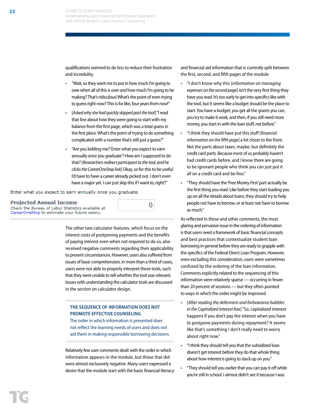qualifications seemed to do less to reduce their frustration and incredulity.

- "Wait, so they want me to put in how much I'm going to owe when all of this is over *and* how much I'm going to be making? That's ridiculous! What's the point of even trying to guess right now? This is for like, four years from now!"
- [*Asked why she had quickly skipped past the tool*] "I read that line about how they were going to start with my balance from the first page, which was a total guess in the first place. What's the point of trying to do something complicated with a number that's still just a guess?"
- "Are you kidding me? 'Enter what you expect to earn annually once you graduate'? How am I supposed to do that? [*Researchers redirect participant to the tool, and he clicks the CareerOneStop link*] Okay, so for this to be useful I'd have to have a career already picked out. I don't even have a major yet. I can just skip this if I want to, right?"

0

Enter what you expect to earn annually once you graduate.

#### **Projected Annual Income** Check the Bureau of Labor Statistics available at CareerOneStop to estimate your future salary.

The other two calculator features, which focus on the interest costs of postponing payments and the benefits of paying interest even when not required to do so, also received negative comments regarding their applicability to present circumstances. However, users also suffered from issues of basic comprehension; in more than a third of cases, users were not able to properly interpret these tools, such that they were unable to tell whether the tool was relevant. Issues with understanding the calculator tools are discussed in the section on calculator design.

## **THE SEQUENCE OF INFORMATION DOES NOT PROMOTE EFFECTIVE COUNSELING**

The order in which information is presented does not reflect the learning needs of users and does not aid them in making responsible borrowing decisions.

Relatively few user comments dealt with the order in which information appears in the module, but those that did were almost exclusively negative. Many users expressed a desire that the module start with the basic financial literacy

and financial aid information that is currently split between the first, second, and fifth pages of the module.

- "I don't know why this [*information on managing expenses on the second page*] isn't the very first thing they have you read. It's too early to get into specifics like with the tool, but it seems like a budget should be the place to start. You have a budget, you get all the grants you can, you try to make it work, and then, if you still need more money, you start in with the loan stuff, not before."
- "I think they should have put this stuff [*financial information on the fifth page*] a lot closer to the front. Not the parts about taxes, maybe, but definitely the credit card parts. Because most of us probably haven't had credit cards before, and I know there are going to be ignorant people who think you can just put it all on a credit card and be fine."
- "They should have the 'Free Money First' part actually be the first thing you read. Like before they start loading you up on all the details about loans, they should try to help people not have to borrow, or at least not have to borrow as much."

As reflected in these and other comments, the most glaring and pervasive issue in the ordering of information is that users need a framework of basic financial concepts and best practices that contextualize student loan borrowing in general before they are ready to grapple with the specifics of the Federal Direct Loan Program. However, even excluding this consideration, users were sometimes confused by the ordering of the loan information. Comments explicitly related to the sequencing of this information were relatively sparse — occurring in fewer than 20 percent of sessions — but they often pointed to ways in which the order might be improved.

- [*After reading the deferment and forbearance bubbles in the Capitalized Interest box*] "So, capitalized interest happens if you don't pay the interest when you have to postpone payments during repayment? It seems like that's something I don't really need to worry about right now."
- "I think they should tell you that the subsidized loan doesn't get interest before they do that whole thing about how interest is going to stack up on you."
- "They should tell you earlier that you can pay it off while you're still in school. I almost didn't see it because I was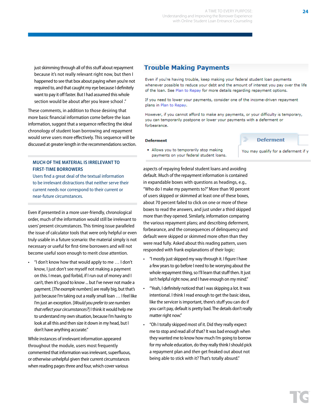just skimming through all of this stuff about repayment because it's not really relevant right now, but then I happened to see that box about paying when you're not required to, and that caught my eye because I definitely want to pay it off faster. But I had assumed this whole section would be about after you leave school ."

These comments, in addition to those desiring that more basic financial information come before the loan information, suggest that a sequence reflecting the ideal chronology of student loan borrowing and repayment would serve users more effectively. This sequence will be discussed at greater length in the recommendations section.

## **MUCH OF THE MATERIAL IS IRRELEVANT TO FIRST-TIME BORROWERS**

Users find a great deal of the textual information to be irrelevant distractions that neither serve their current needs nor correspond to their current or near-future circumstances.

Even if presented in a more user-friendly, chronological order, much of the information would still be irrelevant to users' present circumstances. This timing issue paralleled the issue of calculator tools that were only helpful or even truly usable in a future scenario: the material simply is not necessary or useful for first-time borrowers and will not become useful soon enough to merit close attention.

"I don't know how that would apply to me  $\dots$  I don't know, I just don't see myself not making a payment on this. I mean, god forbid, if I run out of money and I can't, then it's good to know ... but I've never not made a payment. [*The example numbers*] are really big, but that's just because I'm taking out a really small loan … I feel like I'm just an exception. [*Would you prefer to see numbers that reflect your circumstances?*] I think it would help me to understand my own situation, because I'm having to look at all this and then size it down in my head, but I don't have anything accurate."

While instances of irrelevant information appeared throughout the module, users most frequently commented that information was irrelevant, superfluous, or otherwise unhelpful given their current circumstances when reading pages three and four, which cover various

## **Trouble Making Payments**

Even if you're having trouble, keep making your federal student loan payments whenever possible to reduce your debt and the amount of interest you pay over the life of the loan. See Plan to Repay for more details regarding repayment options.

If you need to lower your payments, consider one of the income-driven repayment plans in Plan to Repay.

However, if you cannot afford to make any payments, or your difficulty is temporary, you can temporarily postpone or lower your payments with a deferment or forbearance.

m.

**Deferment** 

You may qualify for a deferment if y

#### **Deferment**

. Allows you to temporarily stop making payments on your federal student loans.

aspects of repaying federal student loans and avoiding default. Much of the repayment information is contained in expandable boxes with questions as headings, e.g., "Who do I make my payments to?" More than 90 percent of users skipped or skimmed at least one of these boxes, about 70 percent failed to click on one or more of these boxes to read the answers, and just under a third skipped more than they opened. Similarly, information comparing the various repayment plans; and describing deferment, forbearance, and the consequences of delinquency and default were skipped or skimmed more often than they were read fully. Asked about this reading pattern, users responded with frank explanations of their logic:

- "I mostly just skipped my way through it. I figure I have a few years to go before I need to be worrying about the whole repayment thing, so I'll learn that stuff then. It just isn't helpful right now, and I have enough on my mind."
- "Yeah, I definitely noticed that I was skipping a lot. It was intentional. I think I read enough to get the basic ideas, like the servicer is important, there's stuff you can do if you can't pay, default is pretty bad. The details don't really matter right now."
- "Oh I totally skipped most of it. Did they really expect me to stop and read all of that? It was bad enough when they wanted me to know how much I'm going to borrow for my whole education, do they really think I should pick a repayment plan and *then* get freaked out about not being able to stick with it? That's totally absurd."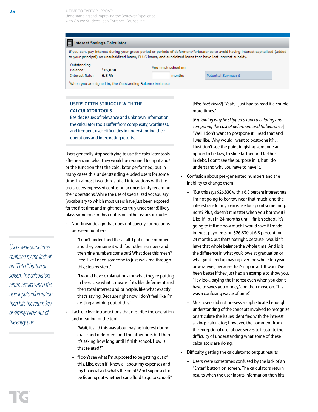Understanding and Improving the Borrower Experience with Online Student Loan Entrance Counseling

#### Interest Savings Calculator

If you can, pay interest during your grace period or periods of deferment/forbearance to avoid having interest capitalized (added to your principal) on unsubsidized loans, PLUS loans, and subsidized loans that have lost interest subsidy.

months

| Outstanding           |          |
|-----------------------|----------|
| Balance:              | \$26,830 |
| <b>Interest Rate:</b> | 6.8%     |

|  | You finish school in: |  |
|--|-----------------------|--|
|  |                       |  |

Potential Savings: \$

<sup>1</sup>When you are signed in, the Outstanding Balance includes:

## **USERS OFTEN STRUGGLE WITH THE CALCULATOR TOOLS**

Besides issues of relevance and unknown information, the calculator tools suffer from complexity, wordiness, and frequent user difficulties in understanding their operations and interpreting results.

Users generally stopped trying to use the calculator tools after realizing what they would be required to input and/ or the function that the calculator performed; but in many cases this understanding eluded users for some time. In almost two-thirds of all interactions with the tools, users expressed confusion or uncertainty regarding their operations. While the use of specialized vocabulary (vocabulary to which most users have just been exposed for the first time and might not yet truly understand) likely plays some role in this confusion, other issues include:

- Non-linear design that does not specify connections between numbers
	- "I don't understand this at all. I put in one number and they combine it with four other numbers and then nine numbers come out? What does this mean? I feel like I need someone to just walk me through this, step by step ."
	- "I would have explanations for what they're putting in here. Like what it means if it's like deferment and then total interest and principle, like what exactly that's saying. Because right now I don't feel like I'm getting anything out of this."
- Lack of clear introductions that describe the operation and meaning of the tool
	- "Wait, it said this was about paying interest during grace and deferment and the other one, but then it's asking how long until I finish school. How is that related?"
	- "I don't see what I'm supposed to be getting out of this. Like, even if I knew all about my expenses and my financial aid, what's the point? Am I supposed to be figuring out whether I can afford to go to school?"
- [*Was that clear?*] "Yeah, I just had to read it a couple more times."
- [*Explaining why he skipped a tool calculating and comparing the cost of deferment and forbearance*] "Well I don't want to postpone it. I read that and I was like, 'Why would I want to postpone it?' … I just don't see the point in giving someone an option to be lazy, to slide farther and farther in debt. I don't see the purpose in it, but I do understand why you have to have it."
- Confusion about pre-generated numbers and the inability to change them
- "But this says \$26,830 with a 6.8 percent interest rate. I'm not going to borrow near that much, and the interest rate for my loan is like four point something, right? Plus, doesn't it matter when you borrow it? Like if I put in 24 months until I finish school, it's going to tell me how much I would save if I made interest payments on \$26,830 at 6.8 percent for 24 months, but that's not right, because I wouldn't have that whole balance the whole time. And is it the difference in what you'd owe at graduation or what you'd end up paying over the whole ten years or whatever, because that's important. It would've been better if they just had an example to show you, 'Hey look, paying the interest even when you don't have to saves you money, and then move on. This was a confusing waste of time."
- Most users did not possess a sophisticated enough understanding of the concepts involved to recognize or articulate the issues identified with the interest savings calculator; however, the comment from the exceptional user above serves to illustrate the difficulty of understanding what some of these calculators are doing.
- Difficulty getting the calculator to output results
	- Users were sometimes confused by the lack of an "Enter" button on screen. The calculators return results when the user inputs information then hits

*Users were sometimes confused by the lack of an "Enter" button on screen. The calculators return results when the user inputs information then hits the return key or simply clicks out of the entry box.*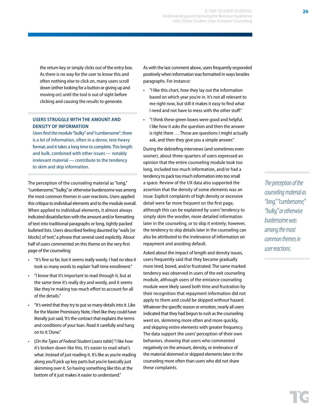the return key or simply clicks out of the entry box. As there is no way for the user to know this and often nothing else to click on, many users scroll down (either looking for a button or giving up and moving on) until the tool is out of sight before clicking and causing the results to generate.

## **USERS STRUGGLE WITH THE AMOUNT AND DENSITY OF INFORMATION**

Users find the module "bulky" and "cumbersome"; there is a lot of information, often in a dense, text-heavy format; and it takes a long time to complete. This length and bulk, combined with other issues — notably irrelevant material — contribute to the tendency to skim and skip information.

The perception of the counseling material as "long," "cumbersome," "bulky," or otherwise burdensome was among the most common themes in user reactions. Users applied this critique to individual elements and to the module overall. When applied to individual elements, it almost always indicated dissatisfaction with the amount and/or formatting of text into traditional paragraphs or long, tightly packed bulleted lists. Users described feeling daunted by "walls [or blocks] of text," a phrase that several used explicitly. About half of users commented on this theme on the very first page of the counseling:

- "It's fine so far, but it seems really wordy. I had no idea it took so many words to explain 'half-time enrollment."
- "I know that it's important to read through it, but at the same time it's really dry and wordy, and it seems like they're making too much effort to account for all of the details."
- "It's weird that they try to put so many details into it. Like for the Master Promissory Note, I feel like they could have literally just said, 'It's the contract that explains the terms and conditions of your loan. Read it carefully and hang on to it.' Done."
- [*On the Types of Federal Student Loans table*] "I like how it's broken down like this. It's easier to read what's what. Instead of just reading it. It's like as you're reading along you'll pick up key parts but you're basically just skimming over it. So having something like this at the bottom of it just makes it easier to understand."

As with the last comment above, users frequently responded positively when information was formatted in ways besides paragraphs. For instance:

- "I like this chart, how they lay out the information based on which year you're in. It's not all relevant to me right now, but still it makes it easy to find what I need and not have to mess with the other stuff."
- "I think these green boxes were good and helpful. I like how it asks the question and then the answer is right there … Those are questions I might actually ask, and then they give you a simple answer."

During the debriefing interviews (and sometimes even sooner), about three-quarters of users expressed an opinion that the entire counseling module took too long, included too much information, and/or had a tendency to pack too much information into too small a space. Review of the UX data also supported the assertion that the density of some elements was an issue. Explicit complaints of high density or excessive detail were far more frequent on the first page, although this can be explained by users' tendency to simply skim the wordier, more detailed information later in the counseling, or to skip it entirely; however, the tendency to skip details later in the counseling can also be attributed to the irrelevance of information on repayment and avoiding default.

Asked about the impact of length and density issues, users frequently said that they became gradually more tired, bored, and/or frustrated. The same marked tendency was observed in users of the exit counseling module, although users of the entrance counseling module were likely saved both time and frustration by their recognition that repayment information did not apply to them and could be skipped without hazard. Whatever the specific reason or emotion, nearly all users indicated that they had begun to rush as the counseling went on, skimming more often and more quickly, and skipping entire elements with greater frequency. The data support the users' perception of their own behaviors, showing that users who commented negatively on the amount, density, or irrelevance of the material skimmed or skipped elements later in the counseling more often than users who did not share these complaints.

*The perception of the counseling material as "long," "cumbersome," "bulky," or otherwise burdensome was among the most common themes in user reactions.*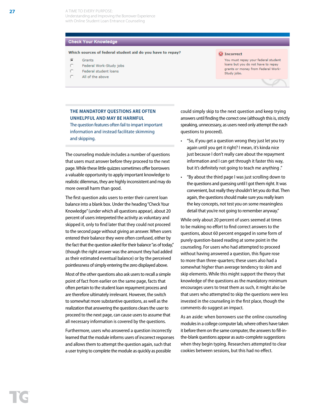A TIME TO EVERY PURPOSE: Understanding and Improving the Borrower Experience with Online Student Loan Entrance Counseling

#### **Check Your Knowledge**

#### Which sources of federal student aid do you have to repay?

- к. Grante
- r Federal Work-Study jobs
- Ÿ Federal student loans
- ť All of the above

#### **C**Incorrect

You must repay your federal student loans but you do not have to repay grants or money from Federal Work-Study jobs.

## **THE MANDATORY QUESTIONS ARE OFTEN UNHELPFUL AND MAY BE HARMFUL**

The question features often fail to impart important information and instead facilitate skimming and skipping.

The counseling module includes a number of questions that users must answer before they proceed to the next page. While these little quizzes sometimes offer borrowers a valuable opportunity to apply important knowledge to realistic dilemmas, they are highly inconsistent and may do more overall harm than good.

The first question asks users to enter their current loan balance into a blank box. Under the heading "Check Your Knowledge" (under which all questions appear), about 20 percent of users interpreted the activity as voluntary and skipped it, only to find later that they could not proceed to the second page without giving an answer. When users entered their balance they were often confused, either by the fact that the question asked for their balance "as of today," (though the right answer was the amount they had added as their estimated eventual balance) or by the perceived pointlessness of simply entering the zero displayed above.

Most of the other questions also ask users to recall a simple point of fact from earlier on the same page, facts that often pertain to the student loan repayment process and are therefore ultimately irrelevant. However, the switch to somewhat more substantive questions, as well as the realization that answering the questions clears the user to proceed to the next page, can cause users to assume that all necessary information is covered by the questions.

Furthermore, users who answered a question incorrectly learned that the module informs users of incorrect responses and allows them to attempt the question again, such that a user trying to complete the module as quickly as possible

could simply skip to the next question and keep trying answers until finding the correct one (although this is, strictly speaking, unnecessary, as users need only attempt the each questions to proceed).

- "So, if you get a question wrong they just let you try again until you get it right? I mean, it's kinda nice just because I don't really care about the repayment information and I can get through it faster this way, but it's definitely not going to teach me anything ."
- "By about the third page I was just scrolling down to the questions and guessing until I got them right. It was convenient, but really they shouldn't let you do that. Then again, the questions should make sure you really learn the key concepts, not test you on some meaningless detail that you're not going to remember anyway."

While only about 20 percent of users seemed at times to be making no effort to find correct answers to the questions, about 60 percent engaged in some form of purely question-based reading at some point in the counseling. For users who had attempted to proceed without having answered a question, this figure rose to more than three-quarters; these users also had a somewhat higher than average tendency to skim and skip elements. While this might support the theory that knowledge of the questions as the mandatory minimum encourages users to treat them as such, it might also be that users who attempted to skip the questions were less invested in the counseling in the first place, though the comments do suggest an impact.

As an aside: when borrowers use the online counseling modules in a college computer lab, where others have taken it before them on the same computer, the answers to fill-inthe-blank questions appear as auto-complete suggestions when they begin typing. Researchers attempted to clear cookies between sessions, but this had no effect.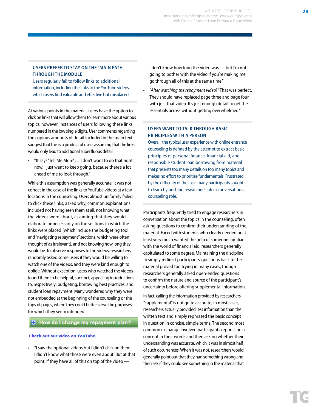## **USERS PREFER TO STAY ON THE "MAIN PATH" THROUGH THE MODULE**

Users regularly fail to follow links to additional information, including the links to the YouTube videos, which users find valuable and effective but misplaced.

At various points in the material, users have the option to click on links that will allow them to learn more about various topics; however, instances of users following these links numbered in the low single digits. User comments regarding the copious amounts of detail included in the main text suggest that this is a product of users assuming that the links would only lead to additional superfluous detail.

• "It says 'Tell Me More' … I don't want to do that right now. I just want to keep going, because there's a lot ahead of me to look through."

While this assumption was generally accurate, it was not correct in the case of the links to YouTube videos at a few locations in the counseling. Users almost uniformly failed to click these links; asked why, common explanations included not having seen them at all, not knowing what the videos were about, assuming that they would elaborate unnecessarily on the sections in which the links were placed (which include the budgeting tool and "navigating repayment" sections, which were often thought of as irrelevant), and not knowing how long they would be. To observe responses to the videos, researchers randomly asked some users if they would be willing to watch one of the videos, and they were kind enough to oblige. Without exception, users who watched the videos found them to be helpful, succinct, appealing introductions to, respectively: budgeting, borrowing best practices, and student loan repayment. Many wondered why they were not embedded at the beginning of the counseling or the tops of pages, where they could better serve the purposes for which they seem intended.

## **B** How do I change my repayment plan?

#### Check out our video on YouTube.

• "I saw the optional videos but I didn't click on them. I didn't know what those were even about. But at that point, if they have all of this on top of the video —

I don't know how long the video was — but I'm not going to bother with the video if you're making me go through all of this at the same time."

• [*After watching the repayment video*] "That was perfect. They should have replaced page three and page four with just that video. It's just enough detail to get the essentials across without getting overwhelmed."

## **USERS WANT TO TALK THROUGH BASIC PRINCIPLES WITH A PERSON**

Overall, the typical user experience with online entrance counseling is defined by the attempt to extract basic principles of personal finance, financial aid, and responsible student loan borrowing from material that presents too many details on too many topics and makes no effort to prioritize fundamentals. Frustrated by the difficulty of the task, many participants sought to learn by pushing researchers into a conversational, counseling role.

Participants frequently tried to engage researchers in conversation about the topics in the counseling, often asking questions to confirm their understanding of the material. Faced with students who clearly needed or at least very much wanted the help of someone familiar with the world of financial aid, researchers generally capitulated to some degree. Maintaining the discipline to simply redirect participants' questions back to the material proved too trying in many cases, though researchers generally asked open-ended questions to confirm the nature and source of the participant's uncertainty before offering supplemental information.

In fact, calling the information provided by researchers "supplemental" is not quite accurate; in most cases, researchers actually provided less information than the written text and simply rephrased the basic concept in question in concise, simple terms. The second most common exchange involved participants rephrasing a concept in their words and then asking whether their understanding was accurate, which it was in almost half of such occurrences. When it was not, researchers would generally point out that they had something wrong and then ask if they could see something in the material that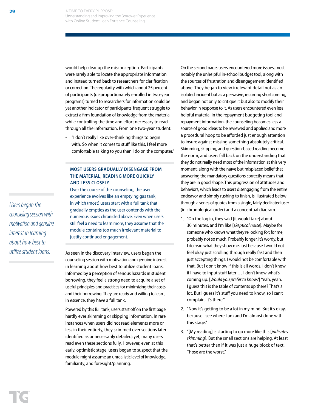would help clear up the misconception. Participants were rarely able to locate the appropriate information and instead turned back to researchers for clarification or correction. The regularity with which about 25 percent of participants (disproportionately enrolled in two-year programs) turned to researchers for information could be yet another indicator of participants' frequent struggle to extract a firm foundation of knowledge from the material while controlling the time and effort necessary to read through all the information. From one two-year student:

• "I don't really like over-thinking things to begin with. So when it comes to stuff like this, I feel more comfortable talking to you than I do on the computer."

## **MOST USERS GRADUALLY DISENGAGE FROM THE MATERIAL, READING MORE QUICKLY AND LESS CLOSELY**

Over the course of the counseling, the user experience evolves like an emptying gas tank, in which (most) users start with a full tank that gradually empties as the user contends with the numerous issues chronicled above. Even when users still feel a need to learn more, they assume that the module contains too much irrelevant material to justify continued engagement.

As seen in the discovery interview, users began the counseling session with motivation and genuine interest in learning about how best to utilize student loans. Informed by a perception of serious hazards in student borrowing, they feel a strong need to acquire a set of useful principles and practices for minimizing their costs and their borrowing. They are ready and willing to learn; in essence, they have a full tank.

Powered by this full tank, users start off on the first page hardly ever skimming or skipping information. In rare instances when users did not read elements more or less in their entirety, they skimmed over sections later identified as unnecessarily detailed; yet, many users read even these sections fully. However, even at this early, optimistic stage, users began to suspect that the module might assume an unrealistic level of knowledge, familiarity, and foresight/planning.

On the second page, users encountered more issues, most notably the unhelpful in-school budget tool, along with the sources of frustration and disengagement identified above. They began to view irrelevant detail not as an isolated incident but as a pervasive, recurring shortcoming, and began not only to critique it but also to modify their behavior in response to it. As users encountered even less helpful material in the repayment budgeting tool and repayment information, the counseling becomes less a source of good ideas to be reviewed and applied and more a procedural hoop to be afforded just enough attention to insure against missing something absolutely critical. Skimming, skipping, and question-based reading become the norm, and users fall back on the understanding that they do not really need most of the information at this very moment, along with the naïve but misplaced belief that answering the mandatory questions correctly means that they are in good shape. This progression of attitudes and behaviors, which leads to users disengaging from the entire endeavor and simply rushing to finish, is illustrated below through a series of quotes from a single, fairly dedicated user (in chronological order) and a conceptual diagram.

- 1. "On the log in, they said [it would take] about 30 minutes, and I'm like [*skeptical noise*]. Maybe for someone who knows what they're looking for; for me, probably not so much. Probably longer. It's wordy, but I do read what they show me, just because I would not feel okay just scrolling through really fast and then just accepting things. I would not be comfortable with that. But I don't know if this is all words. I don't know if I have to input stuff later … I don't know what's coming up. [*Would you prefer to know?*] Yeah, yeah. I guess this is the table of contents up there? That's a lot. But I guess it's stuff you need to know, so I can't complain, it's there."
- 2. "Now it's getting to be a lot in my mind. But it's okay, because I see where I am and I'm almost done with this stage."
- 3. "[My reading] is starting to go more like this [*indicates skimming*]. But the small sections are helping. At least that's better than if it was just a huge block of text. Those are the worst."

*Users began the counseling session with motivation and genuine interest in learning about how best to utilize student loans.*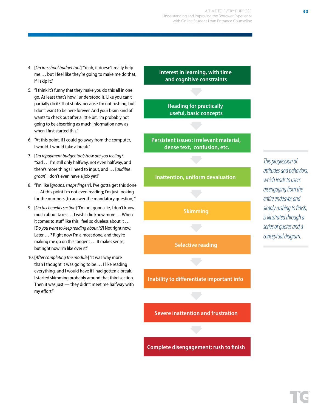- 4. [*On in-school budget tool*] "Yeah, it doesn't really help me … but I feel like they're going to make me do that, if I skip it."
- 5. "I think it's funny that they make you do this all in one go. At least that's how I understood it. Like you can't partially do it? That stinks, because I'm not rushing, but I don't want to be here forever. And your brain kind of wants to check out after a little bit. I'm probably not going to be absorbing as much information now as when I first started this."
- 6. "At this point, if I could go away from the computer, I would. I would take a break."
- 7. [*On repayment budget tool; How are you feeling?*] "Sad … I'm still only halfway, not even halfway, and there's more things I need to input, and … [*audible groan*] I don't even have a job yet!"
- 8. "I'm like [*groans, snaps fingers*]. I've gotta get this done … At this point I'm not even reading; I'm just looking for the numbers [to answer the mandatory question]."
- 9. [*On tax benefits section*] "I'm not gonna lie, I don't know much about taxes … I wish I did know more … When it comes to stuff like this I feel so clueless about it … [*Do you want to keep reading about it?*] Not right now. Later … ? Right now I'm almost done, and they're making me go on this tangent … It makes sense, but right now I'm like over it."
- 10.[*After completing the modul*e] "It was way more than I thought it was going to be … I like reading everything, and I would have if I had gotten a break. I started skimming probably around that third section. Then it was just — they didn't meet me halfway with my effort."

**Interest in learning, with time and cognitive constraints**

> **Reading for practically useful, basic concepts**

**Persistent issues: irrelevant material, dense text, confusion, etc.**

## **Inattention, uniform devaluation**

**Skimming**

**Selective reading**

**Inability to differentiate important info** 

**Severe inattention and frustration**

**Complete disengagement; rush to finish**

*This progression of attitudes and behaviors, which leads to users disengaging from the entire endeavor and simply rushing to finish, is illustrated through a series of quotes and a conceptual diagram.*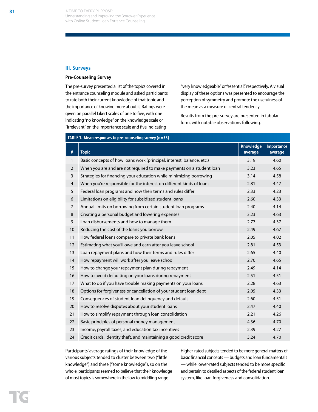#### **III. Surveys**

#### **Pre-Counseling Survey**

The pre-survey presented a list of the topics covered in the entrance counseling module and asked participants to rate both their current knowledge of that topic and the importance of knowing more about it. Ratings were given on parallel Likert scales of one to five, with one indicating "no knowledge" on the knowledge scale or "irrelevant" on the importance scale and five indicating

**TABLE 1. Mean responses to pre-counseling survey (n=33)**

"very knowledgeable" or "essential," respectively. A visual display of these options was presented to encourage the perception of symmetry and promote the usefulness of the mean as a measure of central tendency.

Results from the pre-survey are presented in tabular form, with notable observations following.

|                |                                                                       | <b>Knowledge</b> | Importance |
|----------------|-----------------------------------------------------------------------|------------------|------------|
| $\#$           | <b>Topic</b>                                                          | average          | average    |
| $\mathbf{1}$   | Basic concepts of how loans work (principal, interest, balance, etc.) | 3.19             | 4.60       |
| $\overline{2}$ | When you are and are not required to make payments on a student loan  | 3.23             | 4.65       |
| 3              | Strategies for financing your education while minimizing borrowing    | 3.14             | 4.58       |
| $\overline{4}$ | When you're responsible for the interest on different kinds of loans  | 2.81             | 4.47       |
| 5              | Federal loan programs and how their terms and rules differ            | 2.33             | 4.23       |
| 6              | Limitations on eligibility for subsidized student loans               | 2.60             | 4.33       |
| $\overline{7}$ | Annual limits on borrowing from certain student loan programs         | 2.40             | 4.14       |
| 8              | Creating a personal budget and lowering expenses                      | 3.23             | 4.63       |
| 9              | Loan disbursements and how to manage them                             | 2.77             | 4.37       |
| 10             | Reducing the cost of the loans you borrow                             | 2.49             | 4.67       |
| 11             | How federal loans compare to private bank loans                       | 2.05             | 4.02       |
| 12             | Estimating what you'll owe and earn after you leave school            | 2.81             | 4.53       |
| 13             | Loan repayment plans and how their terms and rules differ             | 2.65             | 4.40       |
| 14             | How repayment will work after you leave school                        | 2.70             | 4.65       |
| 15             | How to change your repayment plan during repayment                    | 2.49             | 4.14       |
| 16             | How to avoid defaulting on your loans during repayment                | 2.51             | 4.51       |
| 17             | What to do if you have trouble making payments on your loans          | 2.28             | 4.63       |
| 18             | Options for forgiveness or cancellation of your student loan debt     | 2.05             | 4.33       |
| 19             | Consequences of student loan delinquency and default                  | 2.60             | 4.51       |
| 20             | How to resolve disputes about your student loans                      | 2.47             | 4.40       |
| 21             | How to simplify repayment through loan consolidation                  | 2.21             | 4.26       |
| 22             | Basic principles of personal money management                         | 4.36             | 4.70       |
| 23             | Income, payroll taxes, and education tax incentives                   | 2.39             | 4.27       |
| 24             | Credit cards, identity theft, and maintaining a good credit score     | 3.24             | 4.70       |

Participants' average ratings of their knowledge of the various subjects tended to cluster between two ("little knowledge") and three ("some knowledge"), so on the whole, participants seemed to believe that their knowledge of most topics is somewhere in the low to middling range.

Higher-rated subjects tended to be more general matters of basic financial concepts — budgets and loan fundamentals — while lower-rated subjects tended to be more specific and pertain to detailed aspects of the federal student loan system, like loan forgiveness and consolidation.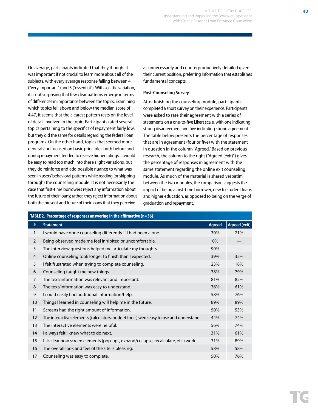On average, participants indicated that they thought it was important if not crucial to learn more about all of the subjects, with every average response falling between 4 ("very important") and 5 ("essential"). With so little variation, it is not surprising that few clear patterns emerge in terms of differences in importance between the topics. Examining which topics fell above and below the median score of 4.47, it seems that the clearest pattern rests on the level of detail involved in the topic. Participants rated several topics pertaining to the specifics of repayment fairly low, but they did the same for details regarding the federal loan programs. On the other hand, topics that seemed more general and focused on basic principles both before and during repayment tended to receive higher ratings. It would be easy to read too much into these slight variations, but they do reinforce and add possible nuance to what was seen in users' behavioral patterns while reading (or skipping through) the counseling module: It is not necessarily the case that first-time borrowers reject any information about the future of their loans; rather, they reject information about both the present and future of their loans that they perceive

as unnecessarily and counterproductively detailed given their current position, preferring information that establishes fundamental concepts.

#### **Post-Counseling Survey**

After finishing the counseling module, participants completed a short survey on their experience. Participants were asked to rate their agreement with a series of statements on a one-to-five Likert scale, with one indicating strong disagreement and five indicating strong agreement. The table below presents the percentage of responses that are in agreement (four or five) with the statement in question in the column "Agreed." Based on previous research, the column to the right ("Agreed (exit)") gives the percentage of responses in agreement with the same statement regarding the online exit counseling module. As much of the material is shared verbatim between the two modules, the comparison suggests the impact of being a first-time borrower, new to student loans and higher education, as opposed to being on the verge of graduation and repayment.

| <b>TABLE 2. Percentage of responses answering in the affirmative (n=36)</b> |                                                                                       |               |                      |  |
|-----------------------------------------------------------------------------|---------------------------------------------------------------------------------------|---------------|----------------------|--|
| #                                                                           | <b>Statement</b>                                                                      | <b>Agreed</b> | <b>Agreed (exit)</b> |  |
| 1                                                                           | I would have done counseling differently if I had been alone.                         | 30%           | 21%                  |  |
| $\overline{2}$                                                              | Being observed made me feel inhibited or uncomfortable.                               | $0\%$         |                      |  |
| 3                                                                           | The interview questions helped me articulate my thoughts.                             | 90%           |                      |  |
| $\overline{4}$                                                              | Online counseling took longer to finish than I expected.                              | 39%           | 32%                  |  |
| 5                                                                           | I felt frustrated when trying to complete counseling.                                 | 23%           | 18%                  |  |
| 6                                                                           | Counseling taught me new things.                                                      | 78%           | 79%                  |  |
| $\overline{7}$                                                              | The text/information was relevant and important.                                      | 81%           | 82%                  |  |
| 8                                                                           | The text/information was easy to understand.                                          | 36%           | 61%                  |  |
| 9                                                                           | I could easily find additional information/help.                                      | 58%           | 76%                  |  |
| 10                                                                          | Things I learned in counseling will help me in the future.                            | 89%           | 89%                  |  |
| 11                                                                          | Screens had the right amount of information.                                          | 50%           | 53%                  |  |
| 12                                                                          | The interactive elements (calculators, budget tools) were easy to use and understand. | 44%           | 74%                  |  |
| 13                                                                          | The interactive elements were helpful.                                                | 56%           | 74%                  |  |
| 14                                                                          | I always felt I knew what to do next.                                                 | 31%           | 61%                  |  |
| 15                                                                          | It is clear how screen elements (pop-ups, expand/collapse, recalculate, etc.) work.   | 31%           | 89%                  |  |
| 16                                                                          | The overall look and feel of the site is pleasing.                                    | 58%           | 58%                  |  |
| 17                                                                          | Counseling was easy to complete.                                                      | 50%           | 76%                  |  |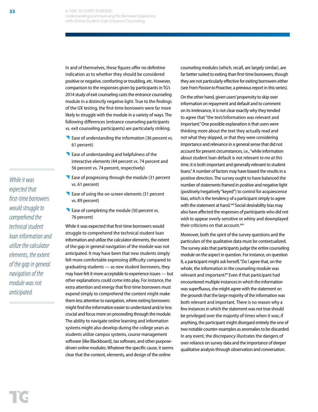In and of themselves, these figures offer no definitive indication as to whether they should be considered positive or negative, comforting or troubling, etc. However, comparison to the responses given by participants in TG's 2014 study of exit counseling casts the entrance counseling module in a distinctly negative light. True to the findings of the UX testing, the first-time borrowers were far more likely to struggle with the module in a variety of ways. The following differences (entrance counseling participants vs. exit counseling participants) are particularly striking:

- Ease of understanding the information (36 percent vs. 61 percent)
- Ease of understanding and helpfulness of the interactive elements (44 percent vs. 74 percent and 56 percent vs. 74 percent, respectively)
- Ease of progressing through the module (31 percent vs. 61 percent)
- Ease of using the on-screen elements (31 percent vs. 89 percent)
- Ease of completing the module (50 percent vs. 76 percent)

While it was expected that first-time borrowers would struggle to comprehend the technical student loan information and utilize the calculator elements, the extent of the gap in general navigation of the module was not anticipated. It may have been that new students simply felt more comfortable expressing difficulty compared to graduating students — as new student borrowers, they may have felt it more acceptable to experience issues — but other explanations could come into play. For instance, the extra attention and energy that first-time borrowers must expend simply to comprehend the content might make them less attentive to navigation, where exiting borrowers might find the information easier to understand and/or less crucial and focus more on proceeding through the module. The ability to navigate online learning and information systems might also develop during the college years as students utilize campus systems, course management software (like Blackboard), tax software, and other purposedriven online modules. Whatever the specific cause, it seems clear that the content, elements, and design of the online

counseling modules (which, recall, are largely similar), are far better suited to exiting than first-time borrowers, though they are not particularly effective for exiting borrowers either (see *From Passive to Proactive*, a previous report in this series).

On the other hand, given users' propensity to skip over information on repayment and default and to comment on its irrelevance, it is not clear exactly why they tended to agree that "the text/information was relevant and important." One possible explanation is that users were thinking more about the text they actually read and not what they skipped, or that they were considering importance and relevance in a general sense that did not account for present circumstances, i.e., "while information about student loan default is not relevant *to me at this time*, it is both important and generally relevant to student loans." A number of factors may have biased the results in a positive direction. The survey ought to have balanced the number of statements framed in positive and negative light (positively/negatively "keyed") to control for acquiescence bias, which is the tendency of a participant simply to agree with the statement at hand.<sup>xxiii</sup> Social desirability bias may also have affected the responses of participants who did not wish to appear overly sensitive or whiny and downplayed their criticisms on that account.xxiv

Moreover, both the spirit of the survey questions and the particulars of the qualitative data must be contextualized. The survey asks that participants judge the entire counseling module on the aspect in question. For instance, on question 8, a participant might ask herself, "Do I agree that, on the whole, the information in the counseling module was relevant and important?" Even if that participant had encountered multiple instances in which the information was superfluous, she might agree with the statement on the grounds that the large majority of the information was both relevant and important. There is no reason why a few instances in which the statement was not true should be privileged over the majority of times when it was; if anything, the participant might disregard entirely the one of two notable counter-examples as anomalies to be discarded. In any event, the discrepancy illustrates the dangers of over-reliance on survey data and the importance of deeper qualitative analysis through observation and conversation.

*While it was expected that first-time borrowers would struggle to comprehend the technical student loan information and utilize the calculator elements, the extent of the gap in general navigation of the module was not anticipated.*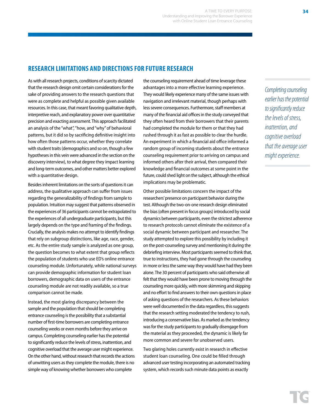## **RESEARCH LIMITATIONS AND DIRECTIONS FOR FUTURE RESEARCH**

As with all research projects, conditions of scarcity dictated that the research design omit certain considerations for the sake of providing answers to the research questions that were as complete and helpful as possible given available resources. In this case, that meant favoring qualitative depth, interpretive reach, and explanatory power over quantitative precision and exacting assessment. This approach facilitated an analysis of the "what", "how, and "why" of behavioral patterns, but it did so by sacrificing definitive insight into how often those patterns occur, whether they correlate with student traits (demographics and so on, though a few hypotheses in this vein were advanced in the section on the discovery interview), to what degree they impact learning and long-term outcomes, and other matters better explored with a quantitative design.

Besides inherent limitations on the sorts of questions it can address, the qualitative approach can suffer from issues regarding the generalizability of findings from sample to population. Intuition may suggest that patterns observed in the experiences of 36 participants cannot be extrapolated to the experiences of all undergraduate participants, but this largely depends on the type and framing of the findings. Crucially, the analysis makes no attempt to identify findings that rely on subgroup distinctions, like age, race, gender, etc. As the entire study sample is analyzed as one group, the question becomes to what extent that group reflects the population of students who use ED's online entrance counseling module. Unfortunately, while national surveys can provide demographic information for student loan borrowers, demographic data on users of the entrance counseling module are not readily available, so a true comparison cannot be made.

Instead, the most glaring discrepancy between the sample and the population that should be completing entrance counseling is the possibility that a substantial number of first-time borrowers are completing entrance counseling weeks or even months before they arrive on campus. Completing counseling earlier has the potential to significantly reduce the levels of stress, inattention, and cognitive overload that the average user might experience. On the other hand, without research that records the actions of unwitting users as they complete the module, there is no simple way of knowing whether borrowers who complete

the counseling requirement ahead of time leverage these advantages into a more effective learning experience. They would likely experience many of the same issues with navigation and irrelevant material, though perhaps with less severe consequences. Furthermore, staff members at many of the financial aid offices in the study conveyed that they often heard from their borrowers that their parents had completed the module for them or that they had rushed through it as fast as possible to clear the hurdle. An experiment in which a financial aid office informed a random group of incoming students about the entrance counseling requirement prior to arriving on campus and informed others after their arrival, then compared their knowledge and financial outcomes at some point in the future, could shed light on the subject, although the ethical implications may be problematic.

Other possible limitations concern the impact of the researchers' presence on participant behavior during the test. Although the two-on-one research design eliminated the bias (often present in focus groups) introduced by social dynamics between participants, even the strictest adherence to research protocols cannot eliminate the existence of a social dynamic between participant and researcher. The study attempted to explore this possibility by including it on the post-counseling survey and mentioning it during the debriefing interview. Most participants seemed to think that, true to instructions, they had gone through the counseling in more or less the same way they would have had they been alone. The 30 percent of participants who said otherwise all felt that they would have been prone to moving through the counseling more quickly, with more skimming and skipping and no effort to find answers to their own questions in place of asking questions of the researchers. As these behaviors were well documented in the data regardless, this suggests that the research setting moderated the tendency to rush, introducing a conservative bias. As marked as the tendency was for the study participants to gradually disengage from the material as they proceeded, the dynamic is likely far more common and severe for unobserved users.

Two glaring holes currently exist in research in effective student loan counseling. One could be filled through advanced user testing incorporating an automated tracking system, which records such minute data points as exactly

*Completing counseling earlier has the potential to significantly reduce the levels of stress, inattention, and cognitive overload that the average user might experience.*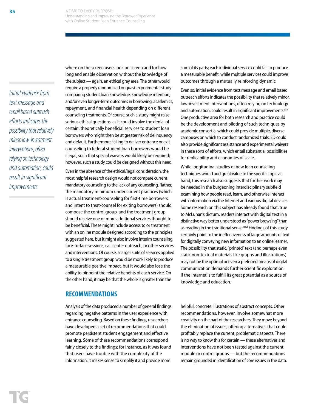*Initial evidence from text message and email based outreach efforts indicates the possibility that relatively minor, low-investment interventions, often relying on technology and automation, could result in significant improvements.*

where on the screen users look on screen and for how long and enable observation without the knowledge of the subject — again, an ethical gray area. The other would require a properly randomized or quasi-experimental study comparing student loan knowledge, knowledge retention, and/or even longer-term outcomes in borrowing, academics, repayment, and financial health depending on different counseling treatments. Of course, such a study might raise serious ethical questions, as it could involve the denial of certain, theoretically beneficial services to student loan borrowers who might then be at greater risk of delinquency and default. Furthermore, failing to deliver entrance or exit counseling to federal student loan borrowers would be illegal, such that special waivers would likely be required; however, such a study could be designed without this need.

Even in the absence of the ethical/legal consideration, the most helpful research design would not compare current mandatory counseling to the lack of any counseling. Rather, the mandatory minimum under current practices (which is actual treatment/counseling for first-time borrowers and intent to treat/counsel for exiting borrowers) should compose the control group, and the treatment group should receive one or more additional services thought to be beneficial. These might include access to or treatment with an online module designed according to the principles suggested here, but it might also involve interim counseling, face-to-face sessions, call center outreach, or other services and interventions. Of course, a larger suite of services applied to a single treatment group would be more likely to produce a measurable positive impact, but it would also lose the ability to pinpoint the relative benefits of each service. On the other hand, it may be that the whole is greater than the

## **RECOMMENDATIONS**

Analysis of the data produced a number of general findings regarding negative patterns in the user experience with entrance counseling. Based on these findings, researchers have developed a set of recommendations that could promote persistent student engagement and effective learning. Some of these recommendations correspond fairly closely to the findings; for instance, as it was found that users have trouble with the complexity of the information, it makes sense to simplify it and provide more

sum of its parts; each individual service could fail to produce a measurable benefit, while multiple services could improve outcomes through a mutually reinforcing dynamic.

Even so, initial evidence from text message and email based outreach efforts indicates the possibility that relatively minor, low-investment interventions, often relying on technology and automation, could result in significant improvements.xxv One productive area for both research and practice could be the development and piloting of such techniques by academic consortia, which could provide multiple, diverse campuses on which to conduct randomized trials. ED could also provide significant assistance and experimental waivers in these sorts of efforts, which entail substantial possibilities for replicability and economies of scale.

While longitudinal studies of new loan counseling techniques would add great value to the specific topic at hand, this research also suggests that further work may be needed in the burgeoning interdisciplinary subfield examining how people read, learn, and otherwise interact with information via the Internet and various digital devices. Some research on this subject has already found that, true to McLuhan's dictum, readers interact with digital text in a distinctive way better understood as "power browsing" than as reading in the traditional sense.<sup>xxvi</sup> Findings of this study certainly point to the ineffectiveness of large amounts of text for digitally conveying new information to an online learner. The possibility that static, "printed" text (and perhaps even static non-textual materials like graphs and illustrations) may not be the optimal or even a preferred means of digital communication demands further scientific exploration if the Internet is to fulfill its great potential as a source of knowledge and education.

helpful, concrete illustrations of abstract concepts. Other recommendations, however, involve somewhat more creativity on the part of the researchers. They move beyond the elimination of issues, offering alternatives that could profitably replace the current, problematic aspects. There is no way to know this for certain — these alternatives and interventions have not been tested against the current module or control groups — but the recommendations remain grounded in identification of core issues in the data.

**35**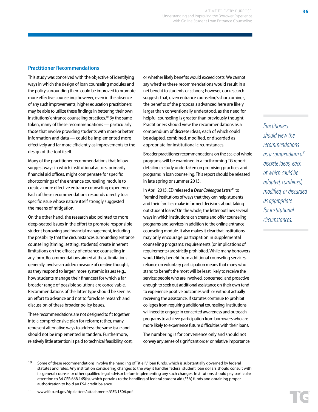## **Practitioner Recommendations**

This study was conceived with the objective of identifying ways in which the design of loan counseling modules and the policy surrounding them could be improved to promote more effective counseling; however, even in the absence of any such improvements, higher education practitioners may be able to utilize these findings in bettering their own institutions' entrance counseling practices.10 By the same token, many of these recommendations — particularly those that involve providing students with more or better information and data — could be implemented more effectively and far more efficiently as improvements to the design of the tool itself.

Many of the practitioner recommendations that follow suggest ways in which institutional actors, primarily financial aid offices, might compensate for specific shortcomings of the entrance counseling module to create a more effective entrance counseling experience. Each of these recommendations responds directly to a specific issue whose nature itself strongly suggested the means of mitigation.

On the other hand, the research also pointed to more deep-seated issues in the effort to promote responsible student borrowing and financial management, including the possibility that the circumstances surrounding entrance counseling (timing, setting, students) create inherent limitations on the efficacy of entrance counseling in any form. Recommendations aimed at these limitations generally involve an added measure of creative thought, as they respond to larger, more systemic issues (e.g., how students manage their finances) for which a far broader range of possible solutions are conceivable. Recommendations of the latter type should be seen as an effort to advance and not to foreclose research and discussion of these broader policy issues.

These recommendations are not designed to fit together into a comprehensive plan for reform; rather, many represent alternative ways to address the same issue and should not be implemented in tandem. Furthermore, relatively little attention is paid to technical feasibility, cost, or whether likely benefits would exceed costs. We cannot say whether these recommendations would result in a net benefit to students or schools; however, our research suggests that, given entrance counseling's shortcomings, the benefits of the proposals advanced here are likely larger than conventionally understood, as the need for helpful counseling is greater than previously thought. Practitioners should view the recommendations as a compendium of discrete ideas, each of which could be adapted, combined, modified, or discarded as appropriate for institutional circumstances.

Broader practitioner recommendations on the scale of whole programs will be examined in a forthcoming TG report detailing a study undertaken on promising practices and programs in loan counseling. This report should be released in late spring or summer 2015.

In April 2015, ED released a *Dear Colleague Letter*11 to "remind institutions of ways that they can help students and their families make informed decisions about taking out student loans." On the whole, the letter outlines several ways in which institutions can create and offer counseling programs and services in addition to the online entrance counseling module. It also makes it clear that institutions may only encourage participation in supplemental counseling programs: requirements (or implications of requirements) are strictly prohibited. While many borrowers would likely benefit from additional counseling services, reliance on voluntary participation means that many who stand to benefit the most will be least likely to receive the service: people who are involved, concerned, and proactive enough to seek out additional assistance on their own tend to experience positive outcomes with or without actually receiving the assistance. If statutes continue to prohibit colleges from requiring additional counseling, institutions will need to engage in concerted awareness and outreach programs to achieve participation from borrowers who are more likely to experience future difficulties with their loans.

The numbering is for convenience only and should not convey any sense of significant order or relative importance. *Practitioners should view the recommendations as a compendium of discrete ideas, each of which could be adapted, combined, modified, or discarded as appropriate for institutional circumstances.*

<sup>10</sup> Some of these recommendations involve the handling of Title IV loan funds, which is substantially governed by federal statutes and rules. Any institution considering changes to the way it handles federal student loan dollars should consult with its general counsel or other qualified legal advisor before implementing any such changes. Institutions should pay particular attention to 34 CFR 668.165(b), which pertains to the handling of federal student aid (FSA) funds and obtaining proper authorization to hold an FSA credit balance.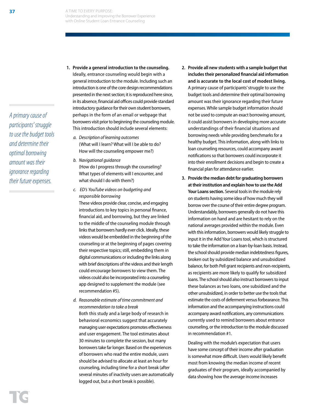*A primary cause of participants' struggle to use the budget tools and determine their optimal borrowing amount was their ignorance regarding their future expenses.* 

- **1. Provide a general introduction to the counseling.**  Ideally, entrance counseling would begin with a general introduction to the module. Including such an introduction is one of the core design recommendations presented in the next section; it is reproduced here since, in its absence, financial aid offices could provide standard introductory guidance for their own student borrowers, perhaps in the form of an email or webpage that borrowers visit prior to beginning the counseling module. This introduction should include several elements:
	- *a. Description of learning outcomes*  (What will I learn? What will I be able to do? How will the counseling empower me?)
	- *b. Navigational guidance*  (How do I progress through the counseling? What types of elements will I encounter, and what should I do with them?)
	- *c. ED's YouTube videos on budgeting and responsible borrowing* These videos provide clear, concise, and engaging introductions to key topics in personal finance, financial aid, and borrowing, but they are linked to the middle of the counseling module through links that borrowers hardly ever click. Ideally, these videos would be embedded in the beginning of the counseling or at the beginning of pages covering their respective topics; still, embedding them in digital communications or including the links along with brief descriptions of the videos and their length could encourage borrowers to view them. The videos could also be incorporated into a counseling app designed to supplement the module (see recommendation #5).
	- *d. Reasonable estimate of time commitment and recommendation to take a break* Both this study and a large body of research in behavioral economics suggest that accurately managing user expectations promotes effectiveness and user engagement. The tool estimates about 30 minutes to complete the session, but many borrowers take far longer. Based on the experiences of borrowers who read the entire module, users should be advised to allocate at least an hour for counseling, including time for a short break (after several minutes of inactivity users are automatically logged out, but a short break is possible).
- **2. Provide all new students with a sample budget that includes their personalized financial aid information and is accurate to the local cost of modest living.**  A primary cause of participants' struggle to use the budget tools and determine their optimal borrowing amount was their ignorance regarding their future expenses. While sample budget information should not be used to compute an exact borrowing amount, it could assist borrowers in developing more accurate understandings of their financial situations and borrowing needs while providing benchmarks for a healthy budget. This information, along with links to loan counseling resources, could accompany award notifications so that borrowers could incorporate it into their enrollment decisions and begin to create a financial plan for attendance earlier.
- **3. Provide the median debt for graduating borrowers at their institution and explain how to use the Add**  Your Loans section. Several tools in the module rely on students having some idea of how much they will borrow over the course of their entire degree program. Understandably, borrowers generally do not have this information on hand and are hesitant to rely on the national averages provided within the module. Even with this information, borrowers would likely struggle to input it in the Add Your Loans tool, which is structured to take the information on a loan-by-loan basis. Instead, the school should provide median indebtedness figures, broken out by subsidized balance and unsubsidized balance, for both Pell grant recipients and non-recipients, as recipients are more likely to qualify for subsidized loans. The school should also instruct borrowers to input these balances as two loans, one subsidized and the other unsubsidized, in order to better use the tools that estimate the costs of deferment versus forbearance. This information and the accompanying instructions could accompany award notifications, any communications currently used to remind borrowers about entrance counseling, or the introduction to the module discussed in recommendation #1.

Dealing with the module's expectation that users have some concept of their income after graduation is somewhat more difficult. Users would likely benefit most from knowing the median income of recent graduates of their program, ideally accompanied by data showing how the average income increases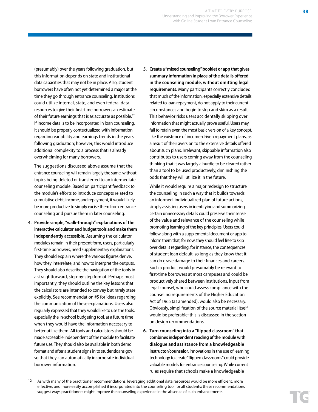(presumably) over the years following graduation, but this information depends on state and institutional data capacities that may not be in place. Also, student borrowers have often not yet determined a major at the time they go through entrance counseling. Institutions could utilize internal, state, and even federal data resources to give their first-time borrowers an estimate of their future earnings that is as accurate as possible.12 If income data is to be incorporated in loan counseling, it should be properly contextualized with information regarding variability and earnings trends in the years following graduation; however, this would introduce additional complexity to a process that is already overwhelming for many borrowers.

The suggestions discussed above assume that the entrance counseling will remain largely the same, without topics being deleted or transferred to an intermediate counseling module. Based on participant feedback to the module's efforts to introduce concepts related to cumulative debt, income, and repayment, it would likely be more productive to simply excise them from entrance counseling and pursue them in later counseling.

- **4. Provide simple, "walk-through" explanations of the interactive calculator and budget tools and make them independently accessible.** Assuming the calculator modules remain in their present form, users, particularly first-time borrowers, need supplementary explanations. They should explain where the various figures derive, how they interrelate, and how to interpret the outputs. They should also describe the navigation of the tools in a straightforward, step-by-step format. Perhaps most importantly, they should outline the key lessons that the calculators are intended to convey but rarely state explicitly. See recommendation #5 for ideas regarding the communication of these explanations. Users also regularly expressed that they would like to use the tools, especially the in-school budgeting tool, at a future time when they would have the information necessary to better utilize them. All tools and calculators should be made accessible independent of the module to facilitate future use. They should also be available in both demo format and after a student signs in to studentloans.gov so that they can automatically incorporate individual borrower information.
- **5. Create a "mixed counseling" booklet or app that gives summary information in place of the details offered in the counseling module, without omitting legal requirements.** Many participants correctly concluded that much of the information, especially extensive details related to loan repayment, do not apply to their current circumstances and begin to skip and skim as a result. This behavior risks users accidentally skipping over information that might actually prove useful. Users may fail to retain even the most basic version of a key concept, like the existence of income-driven repayment plans, as a result of their aversion to the extensive details offered about such plans. Irrelevant, skippable information also contributes to users coming away from the counseling thinking that it was largely a hurdle to be cleared rather than a tool to be used productively, diminishing the odds that they will utilize it in the future.

While it would require a major redesign to structure the counseling in such a way that it builds towards an informed, individualized plan of future actions, simply assisting users in identifying and summarizing certain unnecessary details could preserve their sense of the value and relevance of the counseling while promoting learning of the key principles. Users could follow along with a supplemental document or app to inform them that, for now, they should feel free to skip over details regarding, for instance, the consequences of student loan default, so long as they know that it can do grave damage to their finances and careers. Such a product would presumably be relevant to first-time borrowers at most campuses and could be productively shared between institutions. Input from legal counsel, who could assess compliance with the counseling requirements of the Higher Education Act of 1965 (as amended), would also be necessary. Obviously, simplification of the source material itself would be preferable; this is discussed in the section on design recommendations.

**6. Turn counseling into a "flipped classroom" that combines independent reading of the module with dialogue and assistance from a knowledgeable instructor/counselor.** Innovations in the use of learning technology to create "flipped classrooms" could provide valuable models for entrance counseling. While current rules require that schools make a knowledgeable

**38**

<sup>&</sup>lt;sup>12</sup> As with many of the practitioner recommendations, leveraging additional data resources would be more efficient, more effective, and more easily accomplished if incorporated into the counseling tool for all students; these recommendations suggest ways practitioners might improve the counseling experience in the absence of such enhancements.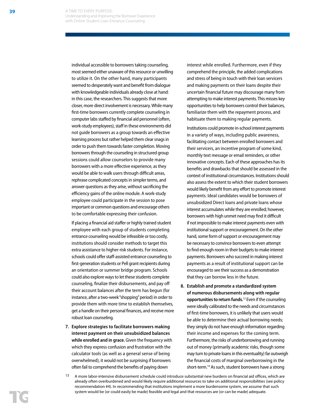individual accessible to borrowers taking counseling, most seemed either unaware of this resource or unwilling to utilize it. On the other hand, many participants seemed to desperately want and benefit from dialogue with knowledgeable individuals already close at hand: in this case, the researchers. This suggests that more closer, more direct involvement is necessary. While many first-time borrowers currently complete counseling in computer labs staffed by financial aid personnel (often, work-study employees), staff in these environments did not guide borrowers as a group towards an effective learning process but rather helped them clear snags in order to push them towards faster completion. Moving borrowers through the counseling in structured group sessions could allow counselors to provide many borrowers with a more effective experience, as they would be able to walk users through difficult areas, rephrase complicated concepts in simpler terms, and answer questions as they arise, without sacrificing the efficiency gains of the online module. A work-study employee could participate in the session to pose important or common questions and encourage others to be comfortable expressing their confusion.

If placing a financial aid staffer or highly trained student employee with each group of students completing entrance counseling would be infeasible or too costly, institutions should consider methods to target this extra assistance to higher-risk students. For instance, schools could offer staff-assisted entrance counseling to first-generation students or Pell grant recipients during an orientation or summer bridge program. Schools could also explore ways to let these students complete counseling, finalize their disbursements, and pay off their account balances after the term has begun (for instance, after a two-week "shopping" period) in order to provide them with more time to establish themselves, get a handle on their personal finances, and receive more robust loan counseling.

**7. Explore strategies to facilitate borrowers making interest payment on their unsubsidized balances while enrolled and in grace.** Given the frequency with which they express confusion and frustration with the calculator tools (as well as a general sense of being overwhelmed), it would not be surprising if borrowers often fail to comprehend the benefits of paying down

interest while enrolled. Furthermore, even if they comprehend the principle, the added complications and stress of being in touch with their loan servicers and making payments on their loans despite their uncertain financial future may discourage many from attempting to make interest payments. This misses key opportunities to help borrowers control their balances, familiarize them with the repayment process, and habituate them to making regular payments.

Institutions could promote in-school interest payments in a variety of ways, including public awareness, facilitating contact between enrolled borrowers and their servicers, an incentive program of some kind, monthly text message or email reminders, or other innovative concepts. Each of these approaches has its benefits and drawbacks that should be assessed in the context of institutional circumstances. Institutions should also assess the extent to which their student borrowers would likely benefit from any effort to promote interest payments. Ideal candidates would be borrowers of unsubsidized Direct loans and private loans whose interest accumulates while they are enrolled; however, borrowers with high unmet need may find it difficult if not impossible to make interest payments even with institutional support or encouragement. On the other hand, some form of support or encouragement may be necessary to convince borrowers to even attempt to find enough room in their budgets to make interest payments. Borrowers who succeed in making interest payments as a result of institutional support can be encouraged to see their success as a demonstration that they can borrow less in the future.

**8. Establish and promote a standardized system of numerous disbursements along with regular opportunities to return funds.**<sup>13</sup> Even if the counseling were ideally calibrated to the needs and circumstances of first-time borrowers, it is unlikely that users would be able to determine their actual borrowing needs; they simply do not have enough information regarding their income and expenses for the coming term. Furthermore, the risks of underborrowing and running out of money (primarily academic risks, though some may turn to private loans in this eventuality) far outweigh the financial costs of marginal overborrowing in the short-term.14 As such, student borrowers have a strong

<sup>13</sup> A more labor-intensive disbursement schedule could introduce substantial new burdens on financial aid offices, which are already often overburdened and would likely require additional resources to take on additional responsibilities (see policy recommendation #4). In recommending that institutions implement a more burdensome system, we assume that such system would be (or could easily be made) feasible and legal and that resources are (or can be made) adequate.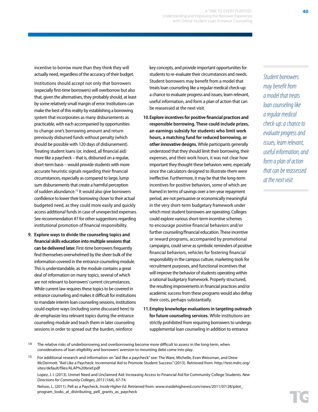A TIME TO EVERY PURPOSE: Understanding and Improving the Borrower Experience with Online Student Loan Entrance Counseling

incentive to borrow more than they think they will actually need, regardless of the accuracy of their budget.

Institutions should accept not only that borrowers (especially first-time borrowers) will overborrow but also that, given the alternatives, they probably should, at least by some relatively small margin of error. Institutions can make the best of this reality by establishing a borrowing system that incorporates as many disbursements as practicable, with each accompanied by opportunities to change one's borrowing amount and return previously disbursed funds without penalty (which should be possible with 120 days of disbursement). Treating student loans (or, indeed, all financial aid) more like a paycheck – that is, disbursed on a regular, short-term basis – would provide students with more accurate heuristic signals regarding their financial circumstances, especially as compared to large, lump sum disbursements that create a harmful perception of sudden abundance.<sup>15</sup> It would also give borrowers confidence to lower their borrowing closer to their actual budgeted need, as they could more easily and quickly access additional funds in case of unexpected expenses. See recommendation #7 for other suggestions regarding institutional promotion of financial responsibility.

**9. Explore ways to divide the counseling topics and financial skills education into multiple sessions that can be delivered later.** First-time borrowers frequently find themselves overwhelmed by the sheer bulk of the information covered in the entrance counseling module. This is understandable, as the module contains a great deal of information on many topics, several of which are not relevant to borrowers' current circumstances. While current law requires these topics to be covered in entrance counseling and makes it difficult for institutions to mandate interim loan counseling sessions, institutions could explore ways (including some discussed here) to de-emphasize less relevant topics during the entrance counseling module and teach them in later counseling sessions in order to spread out the burden, reinforce

key concepts, and provide important opportunities for students to re-evaluate their circumstances and needs. Student borrowers may benefit from a model that treats loan counseling like a regular medical check-up: a chance to evaluate progress and issues, learn relevant, useful information, and form a plan of action that can be reassessed at the next visit.

- **10.Explore incentives for positive financial practices and responsible borrowing. These could include prizes, an earnings subsidy for students who limit work hours, a matching fund for reduced borrowing, or other innovative designs.** While participants generally understood that they should limit their borrowing, their expenses, and their work hours, it was not clear how important they thought these behaviors were, especially since the calculators designed to illustrate them were ineffective. Furthermore, it may be that the long-term incentives for positive behaviors, some of which are framed in terms of savings over a ten-year repayment period, are not persuasive or economically meaningful in the very short-term budgetary framework under which most student borrowers are operating. Colleges could explore various short-term incentive schemes to encourage positive financial behaviors and/or further counseling/financial education. These incentive or reward programs, accompanied by promotional campaigns, could serve as symbolic reminders of positive financial behaviors, vehicles for fostering financial responsibility in the campus culture, marketing tools for recruitment purposes, and functional incentives that will improve the behavior of students operating within a rational budgetary framework. Properly structured, the resulting improvements in financial practices and/or academic success from these programs would also defray their costs, perhaps substantially.
- **11.Employ knowledge evaluations in targeting outreach for future counseling services.** While institutions are strictly prohibited from requiring borrowers to undergo supplemental loan counseling in addition to entrance

<sup>14</sup> The relative risks of underborrowing and overborrowing become more difficult to assess in the long-term, when considerations of loan eligibility and borrowers' aversion to mounting debt come into play.

15 For additional research and information on "aid like a paycheck" see: The Ware, Michelle, Evan Weissman, and Drew McDermott. "Aid Like a Paycheck: Incremental Aid to Promote Student Success." (2013). Retrieved from: http://test.mdrc.org/ sites/default/files/ALAP%20brief.pdf

Lopez, J. I. (2013). Unmet Need and Unclaimed Aid: Increasing Access to Financial Aid for Community College Students. *New Directions for Community Colleges, 2013* (164), 67-74.

Nelson, L. (2011). Pell as a Paycheck. *Inside Higher Ed*. Retrieved from: www.insidehighered.com/news/2011/07/28/pilot\_ program\_looks\_at\_distributing\_pell\_grants\_as\_paycheck

**40**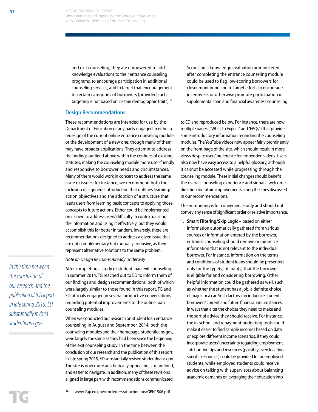and exit counseling, they are empowered to add knowledge evaluations to their entrance counseling programs, to encourage participation in additional counseling services, and to target that encouragement to certain categories of borrowers (provided such targeting is not based on certain demographic traits).16

## **Design Recommendations**

These recommendations are intended for use by the Department of Education or any party engaged in either a redesign of the current online entrance counseling module or the development of a new one, though many of them may have broader applications. They attempt to address the findings outlined above within the confines of existing statutes, making the counseling module more user-friendly and responsive to borrower needs and circumstances. Many of them would work in concert to address the same issue or issues; for instance, we recommend both the inclusion of a general introduction that outlines learning/ action objectives and the adoption of a structure that leads users from learning basic concepts to applying those concepts to future actions. Either could be implemented on its own to address users' difficulty in contextualizing the information and using it effectively, but they would accomplish this far better in tandem. Inversely, there are recommendations designed to address a given issue that are not complementary but mutually exclusive, as they represent alternative solutions to the same problem.

#### *Note on Design Revisions Already Underway*

After completing a study of student loan exit counseling in summer 2014, TG reached out to ED to inform them of our findings and design recommendations, both of which were largely similar to those found in this report. TG and ED officials engaged in several productive conversations regarding potential improvements to the online loan counseling modules.

When we conducted our research on student loan entrance counseling in August and September, 2014, both the counseling modules and their homepage, studentloans.gov, were largely the same as they had been since the beginning of the exit counseling study. In the time between the conclusion of our research and the publication of this report in late spring 2015, ED substantially revised studentloans.gov. The site is now more aesthetically appealing, streamlined, and easier to navigate. In addition, many of these revisions aligned in large part with recommendations communicated

Scores on a knowledge evaluation administered after completing the entrance counseling module could be used to flag low-scoring borrowers for closer monitoring and to target efforts to encourage, incentivize, or otherwise promote participation in supplemental loan and financial awareness counseling.

to ED and reproduced below. For instance, there are now multiple pages ("What To Expect" and "FAQs") that provide some introductory information regarding the counseling modules. The YouTube videos now appear fairly prominently on the front page of the site, which should result in more views despite users' preference for embedded videos. Users also now have easy access to a helpful glossary, although it cannot be accessed while progressing through the counseling module. These initial changes should benefit the overall counseling experience and signal a welcome direction for future improvements along the lines discussed in our recommendations.

The numbering is for convenience only and should not convey any sense of significant order or relative importance.

**1. Smart Filtering/Skip Logic** – based on either information automatically gathered from various sources or information entered by the borrower, entrance counseling should remove or minimize information that is not relevant to the individual borrower. For instance, information on the terms and conditions of student loans should be presented only for the type(s) of loan(s) that the borrower is eligible for and considering borrowing. Other helpful information could be gathered as well, such as whether the student has a job, a definite choice of major, or a car. Such factors can influence student borrowers' current and future financial circumstances in ways that alter the choices they need to make and the sort of advice they should receive. For instance, the in-school and repayment budgeting tools could make it easier to find sample incomes based on data or explore different income scenarios, if they could incorporate users' uncertainty regarding employment. Job hunting tips and resources (possibly even locationspecific resources) could be provided for unemployed students, while employed students could receive advice on talking with supervisors about balancing academic demands or leveraging their education into

*In the time between the conclusion of our research and the publication of this report in late spring 2015, ED substantially revised studentloans.gov.*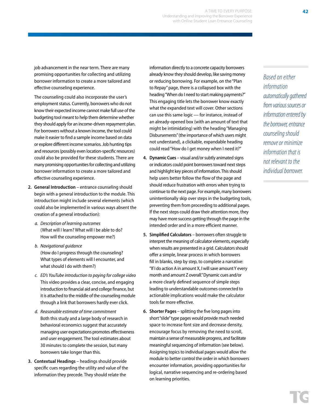job advancement in the near term. There are many promising opportunities for collecting and utilizing borrower information to create a more tailored and effective counseling experience.

The counseling could also incorporate the user's employment status. Currently, borrowers who do not know their expected income cannot make full use of the budgeting tool meant to help them determine whether they should apply for an income-driven repayment plan. For borrowers without a known income, the tool could make it easier to find a sample income based on data or explore different income scenarios. Job hunting tips and resources (possibly even location-specific resources) could also be provided for these students. There are many promising opportunities for collecting and utilizing borrower information to create a more tailored and effective counseling experience.

- **2. General Introduction**  entrance counseling should begin with a general introduction to the module. This introduction might include several elements (which could also be implemented in various ways absent the creation of a general introduction):
	- *a. Description of learning outcomes*  (What will I learn? What will I be able to do? How will the counseling empower me?)
	- *b. Navigational guidance*  (How do I progress through the counseling? What types of elements will I encounter, and what should I do with them?)
	- *c. ED's YouTube introduction to paying for college video*  This video provides a clear, concise, and engaging introduction to financial aid and college finance, but it is attached to the middle of the counseling module through a link that borrowers hardly ever click.
	- *d. Reasonable estimate of time commitment*  Both this study and a large body of research in behavioral economics suggest that accurately managing user expectations promotes effectiveness and user engagement. The tool estimates about 30 minutes to complete the session, but many borrowers take longer than this.
- **3. Contextual Headings**  headings should provide specific cues regarding the utility and value of the information they precede. They should relate the

information directly to a concrete capacity borrowers already know they should develop, like saving money or reducing borrowing. For example, on the "Plan to Repay" page, there is a collapsed box with the heading "When do I need to start making payments?" This engaging title lets the borrower know exactly what the expanded text will cover. Other sections can use this same logic — for instance, instead of an already-opened box (with an amount of text that might be intimidating) with the heading "Managing Disbursements" (the importance of which users might not understand), a clickable, expandable heading could read "How do I get money when I need it?"

A TIME TO EVERY PURPOSE:

Understanding and Improving the Borrower Experience with Online Student Loan Entrance Counseling

- **4. Dynamic Cues**  visual and/or subtly animated signs or indicators could point borrowers toward next steps and highlight key pieces of information. This should help users better follow the flow of the page and should reduce frustration with errors when trying to continue to the next page. For example, many borrowers unintentionally skip over steps in the budgeting tools, preventing them from proceeding to additional pages. If the next steps could draw their attention more, they may have more success getting through the page in the intended order and in a more efficient manner.
- **5. Simplified Calculators**  borrowers often struggle to interpret the meaning of calculator elements, especially when results are presented in a grid. Calculators should offer a simple, linear process in which borrowers fill in blanks, step by step, to complete a narrative: "If I do action A in amount X, I will save amount Y every month and amount Z overall." Dynamic cues and/or a more clearly defined sequence of simple steps leading to understandable outcomes connected to actionable implications would make the calculator tools far more effective.
- **6. Shorter Pages**  splitting the five long pages into short "slide" type pages would provide much needed space to increase font size and decrease density, encourage focus by removing the need to scroll, maintain a sense of measurable progress, and facilitate meaningful sequencing of information (see below). Assigning topics to individual pages would allow the module to better control the order in which borrowers encounter information, providing opportunities for logical, narrative sequencing and re-ordering based on learning priorities.

*Based on either information automatically gathered from various sources or information entered by the borrower, entrance counseling should remove or minimize information that is not relevant to the individual borrower.*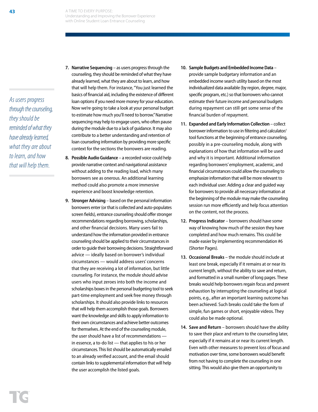*As users progress through the counseling, they should be reminded of what they have already learned, what they are about to learn, and how that will help them.* 

- **7. Narrative Sequencing** as users progress through the counseling, they should be reminded of what they have already learned, what they are about to learn, and how that will help them. For instance, "You just learned the basics of financial aid, including the existence of different loan options if you need more money for your education. Now we're going to take a look at your personal budget to estimate how much you'll need to borrow." Narrative sequencing may help to engage users, who often pause during the module due to a lack of guidance. It may also contribute to a better understanding and retention of loan counseling information by providing more specific context for the sections the borrowers are reading.
- **8. Possible Audio Guidance** a recorded voice could help provide narrative context and navigational assistance without adding to the reading load, which many borrowers see as onerous. An additional learning method could also promote a more immersive experience and boost knowledge retention.
- **9. Stronger Advising**  based on the personal information borrowers enter (or that is collected and auto-populates screen fields), entrance counseling should offer stronger recommendations regarding borrowing, scholarships, and other financial decisions. Many users fail to understand how the information provided in entrance counseling should be applied to their circumstances in order to guide their borrowing decisions. Straightforward advice — ideally based on borrower's individual circumstances — would address users' concerns that they are receiving a lot of information, but little counseling. For instance, the module should advise users who input zeroes into both the income and scholarships boxes in the personal budgeting tool to seek part-time employment and seek free money through scholarships. It should also provide links to resources that will help them accomplish those goals. Borrowers want the knowledge and skills to apply information to their own circumstances and achieve better outcomes for themselves. At the end of the counseling module, the user should have a list of recommendations in essence, a to-do list — that applies to his or her circumstances. This list should be automatically emailed to an already verified account, and the email should contain links to supplemental information that will help the user accomplish the listed goals.
- **10. Sample Budgets and Embedded Income Data**  provide sample budgetary information and an embedded income search utility based on the most individualized data available (by region, degree, major, specific program, etc.) so that borrowers who cannot estimate their future income and personal budgets during repayment can still get some sense of the financial burden of repayment.
- **11. Expanded and Early Information Collection**  collect borrower information to use in filtering and calculator/ tool functions at the beginning of entrance counseling, possibly in a pre-counseling module, along with explanations of how that information will be used and why it is important. Additional information regarding borrowers' employment, academic, and financial circumstances could allow the counseling to emphasize information that will be more relevant to each individual user. Adding a clear and guided way for borrowers to provide all necessary information at the beginning of the module may make the counseling session run more efficiently and help focus attention on the content, not the process.
- **12. Progress Indicator**  borrowers should have some way of knowing how much of the session they have completed and how much remains. This could be made easier by implementing recommendation #6 (Shorter Pages).
- **13. Occasional Breaks**  the module should include at least one break, especially if it remains at or near its current length, without the ability to save and return, and formatted in a small number of long pages. These breaks would help borrowers regain focus and prevent exhaustion by interrupting the counseling at logical points, e.g., after an important learning outcome has been achieved. Such breaks could take the form of simple, fun games or short, enjoyable videos. They could also be made optional.
- **14. Save and Return**  borrowers should have the ability to save their place and return to the counseling later, especially if it remains at or near its current length. Even with other measures to prevent loss of focus and motivation over time, some borrowers would benefit from not having to complete the counseling in one sitting. This would also give them an opportunity to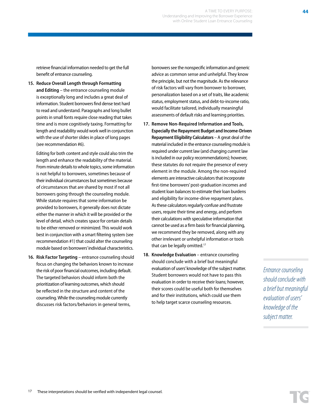17 These interpretations should be verified with independent legal counsel.

retrieve financial information needed to get the full benefit of entrance counseling.

**15. Reduce Overall Length through Formatting and Editing** – the entrance counseling module is exceptionally long and includes a great deal of information. Student borrowers find dense text hard to read and understand. Paragraphs and long bullet points in small fonts require close reading that takes time and is more cognitively taxing. Formatting for length and readability would work well in conjunction with the use of shorter slides in place of long pages (see recommendation #6).

Editing for both content and style could also trim the length and enhance the readability of the material. From minute details to whole topics, some information is not helpful to borrowers, sometimes because of their individual circumstances but sometimes because of circumstances that are shared by most if not all borrowers going through the counseling module. While statute requires that some information be provided to borrowers, it generally does not dictate either the manner in which it will be provided or the level of detail, which creates space for certain details to be either removed or minimized. This would work best in conjunction with a smart filtering system (see recommendation #1) that could alter the counseling module based on borrowers' individual characteristics.

**16. Risk Factor Targeting** – entrance counseling should focus on changing the behaviors known to increase the risk of poor financial outcomes, including default. The targeted behaviors should inform both the prioritization of learning outcomes, which should be reflected in the structure and content of the counseling. While the counseling module currently discusses risk factors/behaviors in general terms,

borrowers see the nonspecific information and generic advice as common sense and unhelpful. They know the principle, but not the magnitude. As the relevance of risk factors will vary from borrower to borrower, personalization based on a set of traits, like academic status, employment status, and debt-to-income ratio, would facilitate tailored, individually meaningful assessments of default risks and learning priorities.

- **17. Remove Non-Required Information and Tools, Especially the Repayment Budget and Income-Driven Repayment Eligibility Calculators** – A great deal of the material included in the entrance counseling module is required under current law (and changing current law is included in our policy recommendations); however, these statutes do not require the presence of every element in the module. Among the non-required elements are interactive calculators that incorporate first-time borrowers' post-graduation incomes and student loan balances to estimate their loan burdens and eligibility for income-drive repayment plans. As these calculators regularly confuse and frustrate users, require their time and energy, and perform their calculations with speculative information that cannot be used as a firm basis for financial planning, we recommend they be removed, along with any other irrelevant or unhelpful information or tools that can be legally omitted.<sup>17</sup>
- 18. **Knowledge Evaluation** entrance counseling should conclude with a brief but meaningful evaluation of users' knowledge of the subject matter. Student borrowers would not have to pass this evaluation in order to receive their loans; however, their scores could be useful both for themselves and for their institutions, which could use them to help target scarce counseling resources.

*Entrance counseling should conclude with a brief but meaningful evaluation of users' knowledge of the subject matter.*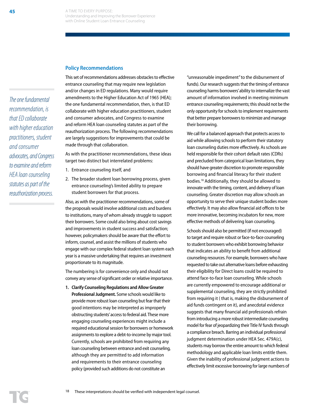#### **Policy Recommendations**

*The one fundamental recommendation, is that ED collaborate with higher education practitioners, student and consumer advocates, and Congress to examine and reform HEA loan counseling statutes as part of the reauthorization process.* 

This set of recommendations addresses obstacles to effective entrance counseling that may require new legislation and/or changes in ED regulations. Many would require amendments to the Higher Education Act of 1965 (HEA); the one fundamental recommendation, then, is that ED collaborate with higher education practitioners, student and consumer advocates, and Congress to examine and reform HEA loan counseling statutes as part of the reauthorization process. The following recommendations are largely suggestions for improvements that could be made through that collaboration.

As with the practitioner recommendations, these ideas target two distinct but interrelated problems:

- 1. Entrance counseling itself, and
- 2. The broader student loan borrowing process, given entrance counseling's limited ability to prepare student borrowers for that process.

Also, as with the practitioner recommendations, some of the proposals would involve additional costs and burdens to institutions, many of whom already struggle to support their borrowers. Some could also bring about cost savings and improvements in student success and satisfaction; however, policymakers should be aware that the effort to inform, counsel, and assist the millions of students who engage with our complex federal student loan system each year is a massive undertaking that requires an investment proportionate to its magnitude.

The numbering is for convenience only and should not convey any sense of significant order or relative importance.

**1. Clarify Counseling Regulations and Allow Greater Professional Judgment.** Some schools would like to provide more robust loan counseling but fear that their good intentions may be interpreted as improperly obstructing students' access to federal aid. These more engaging counseling experiences might include a required educational session for borrowers or homework assignments to explore a debt-to-income by major tool. Currently, schools are prohibited from requiring any loan counseling between entrance and exit counseling, although they are permitted to add information and requirements to their entrance counseling policy (provided such additions do not constitute an

"unreasonable impediment" to the disbursement of funds). Our research suggests that the timing of entrance counseling harms borrowers' ability to internalize the vast amount of information involved in meeting minimum entrance counseling requirements; this should not be the only opportunity for schools to implement requirements that better prepare borrowers to minimize and manage their borrowing.

We call for a balanced approach that protects access to aid while allowing schools to perform their statutory loan counseling duties more effectively. As schools are held responsible for their cohort default rates (CDRs) and precluded from categorical loan limitations, they should have greater discretion to promote responsible borrowing and financial literacy for their student bodies.18 Additionally, they should be allowed to innovate with the timing, content, and delivery of loan counseling. Greater discretion may allow schools an opportunity to serve their unique student bodies more effectively. It may also allow financial aid offices to be more innovative, becoming incubators for new, more effective methods of delivering loan counseling.

Schools should also be permitted (if not encouraged) to target and require robust or face-to-face counseling to student borrowers who exhibit borrowing behavior that indicates an ability to benefit from additional counseling resources. For example, borrowers who have requested to take out alternative loans before exhausting their eligibility for Direct loans could be required to attend face-to-face loan counseling. While schools are currently empowered to encourage additional or supplemental counseling, they are strictly prohibited from requiring it ( that is, making the disbursement of aid funds contingent on it), and anecdotal evidence suggests that many financial aid professionals refrain from introducing a more robust intermediate counseling model for fear of jeopardizing their Title IV funds through a compliance breach. Barring an individual professional judgment determination under HEA Sec. 479A(c), students may borrow the entire amount to which federal methodology and applicable loan limits entitle them. Given the inability of professional judgment actions to effectively limit excessive borrowing for large numbers of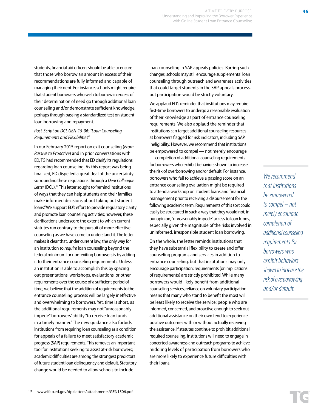19 www.ifap.ed.gov/dpcletters/attachments/GEN1506.pdf

students, financial aid officers should be able to ensure that those who borrow an amount in excess of their recommendations are fully informed and capable of managing their debt. For instance, schools might require that student borrowers who wish to borrow in excess of their determination of need go through additional loan counseling and/or demonstrate sufficient knowledge, perhaps through passing a standardized test on student loan borrowing and repayment.

## *Post-Script on DCL GEN-15-06: "Loan Counseling Requirements and Flexibilitie*s"

In our February 2015 report on exit counseling (*From Passive to Proactive*) and in prior conversations with ED, TG had recommended that ED clarify its regulations regarding loan counseling. As this report was being finalized, ED dispelled a great deal of the uncertainty surrounding these regulations through a *Dear Colleague Letter* (DCL).19 This letter sought to "remind institutions of ways that they can help students and their families make informed decisions about taking out student loans." We support ED's effort to provide regulatory clarity and promote loan counseling activities; however, these clarifications underscore the extent to which current statutes run contrary to the pursuit of more effective counseling as we have come to understand it. The letter makes it clear that, under current law, the only way for an institution to *require* loan counseling beyond the federal minimum for non-exiting borrowers is by adding it to their entrance counseling requirements. Unless an institution is able to accomplish this by spacing out presentations, workshops, evaluations, or other requirements over the course of a sufficient period of time, we believe that the addition of requirements to the entrance counseling process will be largely ineffective and overwhelming to borrowers. Yet, time is short, as the additional requirements may not "unreasonably impede" borrowers' ability "to receive loan funds in a timely manner." The new guidance also forbids institutions from requiring loan counseling as a condition for appeals of a failure to meet satisfactory academic progress (SAP) requirements. This removes an important tool for institutions seeking to assist at-risk borrowers; academic difficulties are among the strongest predictors of future student loan delinquency and default. Statutory

loan counseling in SAP appeals policies. Barring such changes, schools may still encourage supplemental loan counseling through outreach and awareness activities that could target students in the SAP appeals process, but participation would be strictly voluntary.

We applaud ED's reminder that institutions may require first-time borrowers to undergo a reasonable evaluation of their knowledge as part of entrance counseling requirements. We also applaud the reminder that institutions can target additional counseling resources at borrowers flagged for risk indicators, including SAP ineligibility. However, we recommend that institutions be empowered to compel — not merely encourage — completion of additional counseling requirements for borrowers who exhibit behaviors shown to increase the risk of overborrowing and/or default. For instance, borrowers who fail to achieve a passing score on an entrance counseling evaluation might be required to attend a workshop on student loans and financial management prior to receiving a disbursement for the following academic term. Requirements of this sort could easily be structured in such a way that they would not, in our opinion, "unreasonably impede" access to loan funds, especially given the magnitude of the risks involved in uninformed, irresponsible student loan borrowing.

On the whole, the letter reminds institutions that they have substantial flexibility to create and offer counseling programs and services in addition to entrance counseling, but that institutions may only encourage participation; requirements (or implications of requirements) are strictly prohibited. While many borrowers would likely benefit from additional counseling services, reliance on voluntary participation means that many who stand to benefit the most will be least likely to receive the service: people who are informed, concerned, and proactive enough to seek out additional assistance on their own tend to experience positive outcomes with or without actually receiving the assistance. If statutes continue to prohibit additional required counseling, institutions will need to engage in concerted awareness and outreach programs to achieve middling levels of participation from borrowers who are more likely to experience future difficulties with their loans.

*We recommend that institutions be empowered to compel – not merely encourage – completion of additional counseling requirements for borrowers who exhibit behaviors shown to increase the risk of overborrowing and/or default.*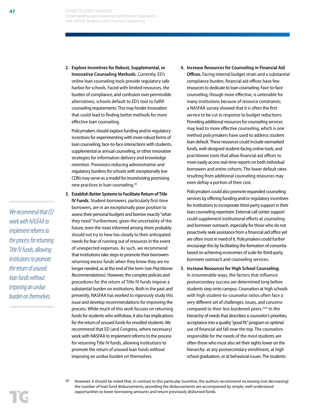**2. Explore Incentives for Robust, Supplemental, or Innovative Counseling Methods.** Currently, ED's online loan counseling tools provide regulatory safe harbor for schools. Faced with limited resources, the burden of compliance, and confusion over permissible alternatives, schools default to ED's tool to fulfill counseling requirements. This may hinder innovation that could lead to finding better methods for more effective loan counseling.

Policymakers should explore funding and/or regulatory incentives for experimenting with more robust forms of loan counseling, face-to-face interactions with students, supplemental or annual counseling, or other innovative strategies for information delivery and knowledge retention. Provisions reducing administrative and regulatory burdens for schools with exceptionally low CDRs may serve as a model for incentivizing promising new practices in loan counseling.20

- **3. Establish Better Systems to Facilitate Return of Title IV Funds.** Student-borrowers, particularly first-time borrowers, are in an exceptionally poor position to assess their personal budgets and borrow exactly "what they need." Furthermore, given the uncertainty of the future, even the most informed among them probably should not try to hew too closely to their anticipated needs for fear of running out of resources in the event of unexpected expenses. As such, we recommend that institutions take steps to promote their borrowers returning excess funds when they know they are no longer needed, as at the end of the term (see *Practitioner Recommendations*). However, the complex policies and procedures for the return of Title IV funds impose a substantial burden on institutions. Both in the past and presently, NASFAA has worked to rigorously study this issue and develop recommendations for improving the process. While much of this work focuses on returning funds for students who withdraw, it also has implications for the return of unused funds for enrolled students. We recommend that ED (and Congress, where necessary) work with NASFAA to implement reforms to the process for returning Title IV funds, allowing institutions to promote the return of unused loan funds without imposing an undue burden on themselves.
- **4. Increase Resources for Counseling in Financial Aid Offices.** Facing internal budget strain and a substantial compliance burden, financial aid offices have few resources to dedicate to loan counseling. Face-to-face counseling, though more effective, is untenable for many institutions because of resource constraints; a NASFAA survey showed that it is often the first service to be cut in response to budget reductions. Providing additional resources for counseling services may lead to more effective counseling, which is one method policymakers have used to address student loan default. These resources could include earmarked funds, well-designed student-facing online tools, and practitioner tools that allow financial aid offices to more easily access real-time reports on both individual borrowers and entire cohorts. The lower default rates resulting from additional counseling resources may even defray a portion of their cost.

Policymakers could also promote expanded counseling services by offering funding and/or regulatory incentives for institutions to incorporate third-party support in their loan counseling repertoire. External call center support could supplement institutional efforts at counseling and borrower outreach, especially for those who do not proactively seek assistance from a financial aid office yet are often most in need of it. Policymakers could further encourage this by facilitating the formation of consortia based on achieving economies of scale for third-party borrower outreach and counseling services.

- **5. Increase Resources for High School Counseling.** In innumerable ways, the factors that influence postsecondary success are determined long before students step onto campus. Counselors at high schools with high student-to-counselor ratios often face a very different set of challenges, issues, and concerns compared to their less burdened peers.xxvii In the hierarchy of needs that describes a counselor's priorities, acceptance into a quality "good fit" program or optimal use of financial aid fall near the top. The counselors responsible for the needs of the most students are often those who must also set their sights lower on the hierarchy: at any postsecondary enrollment, at high school graduation, or at behavioral issues. The students
- <sup>20</sup> However, it should be noted that, in contrast to this particular incentive, the authors recommend increasing (not decreasing) the number of loan fund disbursements, providing the disbursements are accompanied by simple, well-understood opportunities to lower borrowing amounts and return previously disbursed funds.

*We recommend that ED work with NASFAA to implement reforms to the process for returning Title IV funds, allowing institutions to promote the return of unused loan funds without imposing an undue burden on themselves.*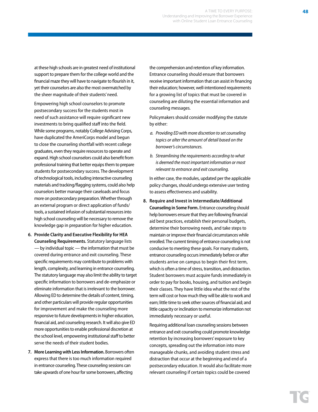at these high schools are in greatest need of institutional support to prepare them for the college world and the financial maze they will have to navigate to flourish in it, yet their counselors are also the most overmatched by the sheer magnitude of their students' need.

Empowering high school counselors to promote postsecondary success for the students most in need of such assistance will require significant new investments to bring qualified staff into the field. While some programs, notably College Advising Corps, have duplicated the AmeriCorps model and begun to close the counseling shortfall with recent college graduates, even they require resources to operate and expand. High school counselors could also benefit from professional training that better equips them to prepare students for postsecondary success. The development of technological tools, including interactive counseling materials and tracking/flagging systems, could also help counselors better manage their caseloads and focus more on postsecondary preparation. Whether through an external program or direct application of funds/ tools, a sustained infusion of substantial resources into high school counseling will be necessary to remove the knowledge gap in preparation for higher education.

- **6. Provide Clarity and Executive Flexibility for HEA Counseling Requirements.** Statutory language lists — by individual topic — the information that must be covered during entrance and exit counseling. These specific requirements may contribute to problems with length, complexity, and learning in entrance counseling. The statutory language may also limit the ability to target specific information to borrowers and de-emphasize or eliminate information that is irrelevant to the borrower. Allowing ED to determine the details of content, timing, and other particulars will provide regular opportunities for improvement and make the counseling more responsive to future developments in higher education, financial aid, and counseling research. It will also give ED more opportunities to enable professional discretion at the school level, empowering institutional staff to better serve the needs of their student bodies.
- **7. More Learning with Less Information.** Borrowers often express that there is too much information required in entrance counseling. These counseling sessions can take upwards of one hour for some borrowers, affecting

the comprehension and retention of key information. Entrance counseling should ensure that borrowers receive important information that can assist in financing their education; however, well-intentioned requirements for a growing list of topics that must be covered in counseling are diluting the essential information and counseling messages.

Policymakers should consider modifying the statute by either:

- *a. Providing ED with more discretion to set counseling topics or alter the amount of detail based on the borrower's circumstances.*
- *b. Streamlining the requirements according to what is deemed the most important information or most relevant to entrance and exit counseling.*

In either case, the modules, updated per the applicable policy changes, should undergo extensive user testing to assess effectiveness and usability.

**8. Require and Invest in Intermediate/Additional Counseling in Some Form.** Entrance counseling should help borrowers ensure that they are following financial aid best practices, establish their personal budgets, determine their borrowing needs, and take steps to maintain or improve their financial circumstances while enrolled. The current timing of entrance counseling is not conducive to meeting these goals. For many students, entrance counseling occurs immediately before or after students arrive on campus to begin their first term, which is often a time of stress, transition, and distraction. Student borrowers must acquire funds immediately in order to pay for books, housing, and tuition and begin their classes. They have little idea what the rest of the term will cost or how much they will be able to work and earn; little time to seek other sources of financial aid; and little capacity or inclination to memorize information not immediately necessary or useful.

Requiring additional loan counseling sessions between entrance and exit counseling could promote knowledge retention by increasing borrowers' exposure to key concepts, spreading out the information into more manageable chunks, and avoiding student stress and distraction that occur at the beginning and end of a postsecondary education. It would also facilitate more relevant counseling if certain topics could be covered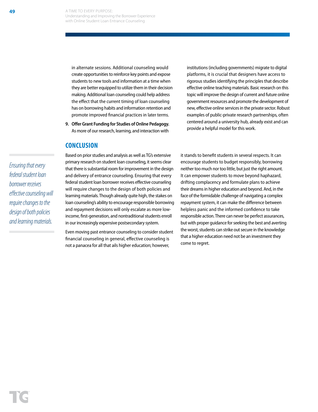in alternate sessions. Additional counseling would create opportunities to reinforce key points and expose students to new tools and information at a time when they are better equipped to utilize them in their decision making. Additional loan counseling could help address the effect that the current timing of loan counseling has on borrowing habits and information retention and promote improved financial practices in later terms.

**9. Offer Grant Funding for Studies of Online Pedagogy.**  As more of our research, learning, and interaction with

## **CONCLUSION**

Based on prior studies and analysis as well as TG's extensive primary research on student loan counseling, it seems clear that there is substantial room for improvement in the design and delivery of entrance counseling. Ensuring that every federal student loan borrower receives effective counseling will require changes to the design of both policies and learning materials. Though already quite high, the stakes on loan counseling's ability to encourage responsible borrowing and repayment decisions will only escalate as more lowincome, first-generation, and nontraditional students enroll in our increasingly expensive postsecondary system.

Even moving past entrance counseling to consider student financial counseling in general, effective counseling is not a panacea for all that ails higher education; however,

institutions (including governments) migrate to digital platforms, it is crucial that designers have access to rigorous studies identifying the principles that describe effective online teaching materials. Basic research on this topic will improve the design of current and future online government resources and promote the development of new, effective online services in the private sector. Robust examples of public-private research partnerships, often centered around a university hub, already exist and can provide a helpful model for this work.

it stands to benefit students in several respects. It can encourage students to budget responsibly, borrowing neither too much nor too little, but just the right amount. It can empower students to move beyond haphazard, drifting complacency and formulate plans to achieve their dreams in higher education and beyond. And, in the face of the formidable challenge of navigating a complex repayment system, it can make the difference between helpless panic and the informed confidence to take responsible action. There can never be perfect assurances, but with proper guidance for seeking the best and averting the worst, students can strike out secure in the knowledge that a higher education need not be an investment they come to regret.

*Ensuring that every federal student loan borrower receives effective counseling will require changes to the design of both policies and learning materials.*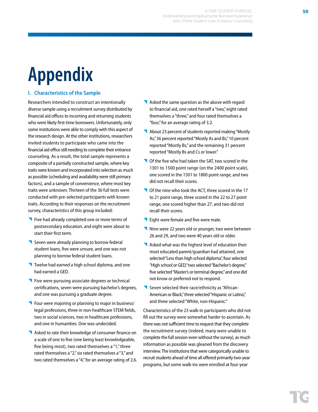## **Appendix**

## **I. Characteristics of the Sample**

Researchers intended to construct an intentionally diverse sample using a recruitment survey distributed by financial aid offices to incoming and returning students who were likely first-time borrowers. Unfortunately, only some institutions were able to comply with this aspect of the research design. At the other institutions, researchers invited students to participate who came into the financial aid office still needing to complete their entrance counseling. As a result, the total sample represents a composite of a partially constructed sample, where key traits were known and incorporated into selection as much as possible (scheduling and availability were still primary factors), and a sample of convenience, where most key traits were unknown. Thirteen of the 36 full tests were conducted with pre-selected participants with known traits. According to their responses on the recruitment survey, characteristics of this group included:

- Five had already completed one or more terms of postsecondary education, and eight were about to start their first term.
- Seven were already planning to borrow federal student loans, five were unsure, and one was not planning to borrow federal student loans.
- Twelve had earned a high school diploma, and one had earned a GED.
- **T** Five were pursuing associate degrees or technical certifications, seven were pursuing bachelor's degrees, and one was pursuing a graduate degree.
- Four were majoring or planning to major in business/ legal professions, three in non-healthcare STEM fields, two in social sciences, two in healthcare professions, and one in humanities. One was undecided.
- Asked to rate their knowledge of consumer finance on a scale of one to five (one being least knowledgeable, five being most), two rated themselves a "1," three rated themselves a "2," six rated themselves a "3," and two rated themselves a "4," for an average rating of 2.6.
- Asked the same question as the above with regard to financial aid, one rated herself a "two," eight rated themselves a "three," and four rated themselves a "four," for an average rating of 3.2.
- About 23 percent of students reported making "Mostly As," 36 percent reported "Mostly As and Bs," 10 percent reported "Mostly Bs," and the remaining 31 percent reported "Mostly Bs and Cs or lower."
- Of the five who had taken the SAT, two scored in the 1301 to 1500 point range (on the 2400 point scale), one scored in the 1501 to 1800 point range, and two did not recall their scores.
- Of the nine who took the ACT, three scored in the 17 to 21 point range, three scored in the 22 to 27 point range, one scored higher than 27, and two did not recall their scores.
- **Eight were female and five were male.**
- Nine were 22 years old or younger, two were between 26 and 29, and two were 40 years old or older.
- Asked what was the highest level of education their most educated parent/guardian had attained, one selected "Less than high school diploma", four selected "High school or GED," two selected "Bachelor's degree," five selected "Master's or terminal degree," and one did not know or preferred not to respond.
- Seven selected their race/ethnicity as "African-American or Black," three selected "Hispanic or Latino," and three selected "White, non-Hispanic."

Characteristics of the 23 walk-in participants who did not fill out the survey were somewhat harder to ascertain. As there was not sufficient time to request that they complete the recruitment survey (indeed, many were unable to complete the full session even without the survey), as much information as possible was gleaned from the discovery interview. The institutions that were categorically unable to recruit students ahead of time all offered primarily two-year programs, but some walk-ins were enrolled at four-year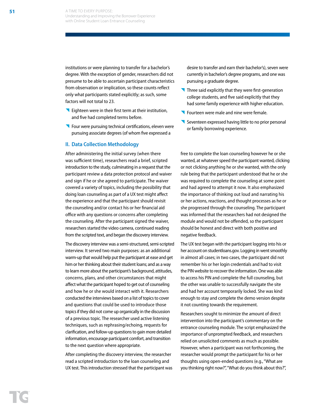institutions or were planning to transfer for a bachelor's degree. With the exception of gender, researchers did not presume to be able to ascertain participant characteristics from observation or implication, so these counts reflect only what participants stated explicitly; as such, some factors will not total to 23.

- **Eighteen were in their first term at their institution,** and five had completed terms before.
- **Four were pursuing technical certifications, eleven were** pursuing associate degrees (of whom five expressed a

#### **II. Data Collection Methodology**

After administering the initial survey (when there was sufficient time), researchers read a brief, scripted introduction to the study, culminating in a request that the participant review a data protection protocol and waiver and sign if he or she agreed to participate. The waiver covered a variety of topics, including the possibility that doing loan counseling as part of a UX test might affect the experience and that the participant should revisit the counseling and/or contact his or her financial aid office with any questions or concerns after completing the counseling. After the participant signed the waiver, researchers started the video camera, continued reading from the scripted text, and began the discovery interview.

The discovery interview was a semi-structured, semi-scripted interview. It served two main purposes: as an additional warm-up that would help put the participant at ease and get him or her thinking about their student loans; and as a way to learn more about the participant's background, attitudes, concerns, plans, and other circumstances that might affect what the participant hoped to get out of counseling and how he or she would interact with it. Researchers conducted the interviews based on a list of topics to cover and questions that could be used to introduce those topics if they did not come up organically in the discussion of a previous topic. The researcher used active listening techniques, such as rephrasing/echoing, requests for clarification, and follow-up questions to gain more detailed information, encourage participant comfort, and transition to the next question where appropriate.

After completing the discovery interview, the researcher read a scripted introduction to the loan counseling and UX test. This introduction stressed that the participant was desire to transfer and earn their bachelor's), seven were currently in bachelor's degree programs, and one was pursuing a graduate degree.

- $\blacksquare$  Three said explicitly that they were first-generation college students, and five said explicitly that they had some family experience with higher education.
- **Fourteen were male and nine were female.**
- Seventeen expressed having little to no prior personal or family borrowing experience.

free to complete the loan counseling however he or she wanted, at whatever speed the participant wanted, clicking or not clicking anything he or she wanted, with the only rule being that the participant understood that he or she was required to complete the counseling at some point and had agreed to attempt it now. It also emphasized the importance of thinking out loud and narrating his or her actions, reactions, and thought processes as he or she progressed through the counseling. The participant was informed that the researchers had not designed the module and would not be offended, so the participant should be honest and direct with both positive and negative feedback.

The UX test began with the participant logging into his or her account on studentloans.gov. Logging in went smoothly in almost all cases; in two cases, the participant did not remember his or her login credentials and had to visit the PIN website to recover the information. One was able to access his PIN and complete the full counseling, but the other was unable to successfully navigate the site and had her account temporarily locked. She was kind enough to stay and complete the demo version despite it not counting towards the requirement.

Researchers sought to minimize the amount of direct intervention into the participant's commentary on the entrance counseling module. The script emphasized the importance of unprompted feedback, and researchers relied on unsolicited comments as much as possible. However, when a participant was not forthcoming, the researcher would prompt the participant for his or her thoughts using open-ended questions (e.g., "What are you thinking right now?", "What do you think about this?",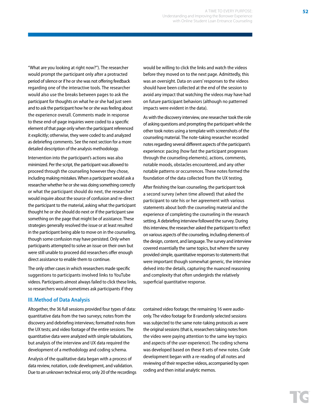"What are you looking at right now?"). The researcher would prompt the participant only after a protracted period of silence or if he or she was not offering feedback regarding one of the interactive tools. The researcher would also use the breaks between pages to ask the participant for thoughts on what he or she had just seen and to ask the participant how he or she was feeling about the experience overall. Comments made in response to these end-of-page inquiries were coded to a specific element of that page only when the participant referenced it explicitly; otherwise, they were coded to and analyzed as debriefing comments. See the next section for a more detailed description of the analysis methodology.

Intervention into the participant's actions was also minimized. Per the script, the participant was allowed to proceed through the counseling however they chose, including making mistakes. When a participant would ask a researcher whether he or she was doing something correctly or what the participant should do next, the researcher would inquire about the source of confusion and re-direct the participant to the material, asking what the participant thought he or she should do next or if the participant saw something on the page that might be of assistance. These strategies generally resolved the issue or at least resulted in the participant being able to move on in the counseling, though some confusion may have persisted. Only when participants attempted to solve an issue on their own but were still unable to proceed did researchers offer enough direct assistance to enable them to continue.

The only other cases in which researchers made specific suggestions to participants involved links to YouTube videos. Participants almost always failed to click these links, so researchers would sometimes ask participants if they

## **III.Method of Data Analysis**

Altogether, the 36 full sessions provided four types of data: quantitative data from the two surveys; notes from the discovery and debriefing interviews; formatted notes from the UX tests; and video footage of the entire sessions. The quantitative data were analyzed with simple tabulations, but analysis of the interview and UX data required the development of a methodology and coding schema.

Analysis of the qualitative data began with a process of data review, notation, code development, and validation. Due to an unknown technical error, only 20 of the recordings would be willing to click the links and watch the videos before they moved on to the next page. Admittedly, this was an oversight. Data on users' responses to the videos should have been collected at the end of the session to avoid any impact that watching the videos may have had on future participant behaviors (although no patterned impacts were evident in the data).

As with the discovery interview, one researcher took the role of asking questions and prompting the participant while the other took notes using a template with screenshots of the counseling material. The note-taking researcher recorded notes regarding several different aspects of the participant's experience: pacing (how fast the participant progresses through the counseling elements), actions, comments, notable moods, obstacles encountered, and any other notable patterns or occurrences. These notes formed the foundation of the data collected from the UX testing.

After finishing the loan counseling, the participant took a second survey (when time allowed) that asked the participant to rate his or her agreement with various statements about both the counseling material and the experience of completing the counseling in the research setting. A debriefing interview followed the survey. During this interview, the researcher asked the participant to reflect on various aspects of the counseling, including elements of the design, content, and language. The survey and interview covered essentially the same topics, but where the survey provided simple, quantitative responses to statements that were important though somewhat generic, the interview delved into the details, capturing the nuanced reasoning and complexity that often undergirds the relatively superficial quantitative response.

contained video footage; the remaining 16 were audioonly. The video footage for 8 randomly selected sessions was subjected to the same note-taking protocols as were the original sessions (that is, researchers taking notes from the video were paying attention to the same key topics and aspects of the user experience). The coding schema was developed based on these 8 sets of new notes. Code development began with a re-reading of all notes and reviewing of their respective videos, accompanied by open coding and then initial analytic memos.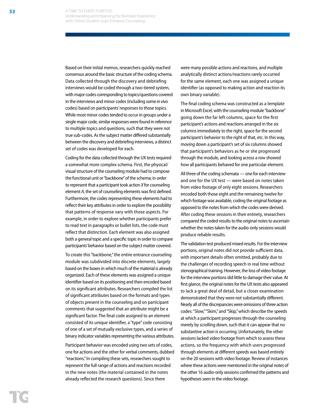Based on their initial memos, researchers quickly reached consensus around the basic structure of the coding schema. Data collected through the discovery and debriefing interviews would be coded through a two-tiered system, with major codes corresponding to topics/questions covered in the interviews and minor codes (including some *in vivo* codes) based on participants' responses to those topics. While most minor codes tended to occur in groups under a single major code, similar responses were found in reference to multiple topics and questions, such that they were not true sub-codes. As the subject matter differed substantially between the discovery and debriefing interviews, a distinct set of codes was developed for each.

Coding for the data collected through the UX tests required a somewhat more complex schema. First, the physical/ visual structure of the counseling module had to compose the functional unit or "backbone" of the schema; in order to represent that a participant took action *X* for counseling element *A*, the set of counseling elements was first defined. Furthermore, the codes representing these elements had to reflect their key attributes in order to explore the possibility that patterns of response vary with those aspects. For example, in order to explore whether participants prefer to read text in paragraphs or bullet lists, the code must reflect that distinction. Each element was also assigned both a general topic and a specific topic in order to compare participants' behavior based on the subject matter covered.

To create this "backbone," the entire entrance counseling module was subdivided into discrete elements, largely based on the boxes in which much of the material is already organized. Each of these elements was assigned a unique identifier based on its positioning and then encoded based on its significant attributes. Researchers compiled the list of significant attributes based on the formats and types of objects present in the counseling and on participant comments that suggested that an attribute might be a significant factor. The final code assigned to an element consisted of its unique identifier, a "type" code consisting of one of a set of mutually exclusive types, and a series of binary indicator variables representing the various attributes.

Participant behavior was encoded using two sets of codes, one for actions and the other for verbal comments, dubbed "reactions." In compiling these sets, researchers sought to represent the full range of actions and reactions recorded in the new notes (the material contained in the notes already reflected the research questions). Since there

were many possible actions and reactions, and multiple analytically distinct actions/reactions rarely occurred for the same element, each one was assigned a unique identifier (as opposed to making action and reaction its own binary variable).

The final coding schema was constructed as a template in Microsoft Excel, with the counseling module "backbone" going down the far left columns, space for the first participant's actions and reactions arranged in the six columns immediately to the right, space for the second participant's behavior to the right of that, etc. In this way, moving down a participant's set of six columns showed that participant's behaviors as he or she progressed through the module, and looking across a row showed how all participants behaved for one particular element.

All three of the coding schemata — one for each interview and one for the UX test — were based on notes taken from video footage of only eight sessions. Researchers encoded both those eight and the remaining twelve for which footage was available, coding the original footage as opposed to the notes from which the codes were derived. After coding these sessions in their entirety, researchers compared the coded results to the original notes to ascertain whether the notes taken for the audio-only sessions would produce reliable results.

The validation test produced mixed results. For the interview portions, original notes did not provide sufficient data, with important details often omitted, probably due to the challenges of recording speech in real time without stenographical training. However, the loss of video footage for the interview portions did little to damage their value. At first glance, the original notes for the UX tests also appeared to lack a great deal of detail, but a closer examination demonstrated that they were not substantially different. Nearly all of the discrepancies were omissions of three action codes: "Slow," "Skim," and "Skip," which describe the speeds at which a participant progresses through the counseling merely by scrolling down, such that it can appear that no substantive action is occurring. Unfortunately, the other sessions lacked video footage from which to assess these actions, so the frequency with which users progressed through elements at different speeds was based entirely on the 20 sessions with video footage. Review of instances where these actions were mentioned in the original notes of the other 16 audio-only sessions confirmed the patterns and hypotheses seen in the video footage.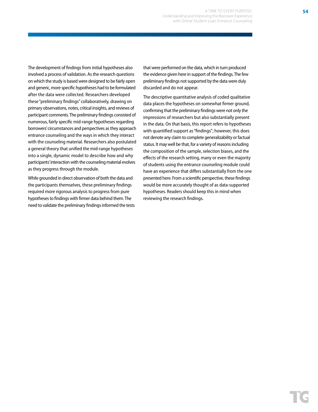The development of findings from initial hypotheses also involved a process of validation. As the research questions on which the study is based were designed to be fairly open and generic, more specific hypotheses had to be formulated after the data were collected. Researchers developed these "preliminary findings" collaboratively, drawing on primary observations, notes, critical insights, and reviews of participant comments. The preliminary findings consisted of numerous, fairly specific mid-range hypotheses regarding borrowers' circumstances and perspectives as they approach entrance counseling and the ways in which they interact with the counseling material. Researchers also postulated a general theory that unified the mid-range hypotheses into a single, dynamic model to describe how and why participants' interaction with the counseling material evolves as they progress through the module.

While grounded in direct observation of both the data and the participants themselves, these preliminary findings required more rigorous analysis to progress from pure hypotheses to findings with firmer data behind them. The need to validate the preliminary findings informed the tests that were performed on the data, which in turn produced the evidence given here in support of the findings. The few preliminary findings not supported by the data were duly discarded and do not appear.

The descriptive quantitative analysis of coded qualitative data places the hypotheses on somewhat firmer ground, confirming that the preliminary findings were not only the impressions of researchers but also substantially present in the data. On that basis, this report refers to hypotheses with quantified support as "findings"; however, this does not denote any claim to complete generalizability or factual status. It may well be that, for a variety of reasons including the composition of the sample, selection biases, and the effects of the research setting, many or even the majority of students using the entrance counseling module could have an experience that differs substantially from the one presented here. From a scientific perspective, these findings would be more accurately thought of as data-supported hypotheses. Readers should keep this in mind when reviewing the research findings.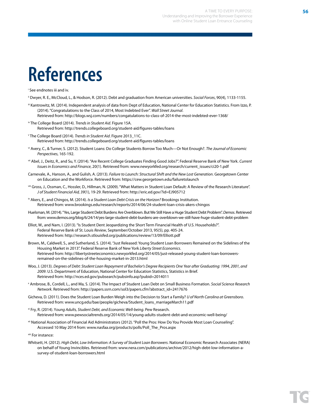## **References**

i See endnotes iii and iv.

- ii Dwyer, R. E., McCloud, L., & Hodson, R. (2012). Debt and graduation from American universities. *Social Forces*, 90(4), 1133-1155.
- iii Kantrowitz, M. (2014). Independent analysis of data from Dept of Education, National Center for Education Statistics. From Izzo, P. (2014). "Congratulations to the Class of 2014, Most Indebted Ever". *Wall Street Journal*. Retrieved from: http://blogs.wsj.com/numbers/congatulations-to-class-of-2014-the-most-indebted-ever-1368/
- iv The College Board (2014). *Trends in Student Aid*. Figure 15A. Retrieved from: http://trends.collegeboard.org/student-aid/figures-tables/loans
- v The College Board (2014). *Trends in Student Aid*. Figure 2013\_11C. Retrieved from: http://trends.collegeboard.org/student-aid/figures-tables/loans
- vi Avery, C., & Turner, S. (2012). Student Loans: Do College Students Borrow Too Much—Or Not Enough?. *The Journal of Economic Perspectives*, 165-192.
- vii Abel, J., Deitz, R., and Su, Y. (2014). "Are Recent College Graduates Finding Good Jobs?". Federal Reserve Bank of New York. *Current Issues in Economics and Finance*, 20(1). Retrieved from: www.newyorkfed.org/research/current\_issues/ci20-1.pdf
- Carnevale, A., Hanson, A., and Gulish, A. (2013). *Failure to Launch: Structural Shift and the New Lost Generation*. Georgetown Center on Education and the Workforce. Retrieved from: https://cew.georgetown.edu/failuretolaunch
- viii Gross, J., Ossman, C., Hossler, D., Hillman, N. (2009). "What Matters in Student Loan Default: A Review of the Research Literature". *J of Student Financial Aid, 39*(1), 19-29. Retrieved from: http://eric.ed.gov/?id=EJ905712
- ix Akers, E., and Chingos, M. (2014). *Is a Student Loan Debt Crisis on the Horizon?* Brookings Institution. Retrieved from: www.brookings.edu/research/reports/2014/06/24-student-loan-crisis-akers-chingos
- Huelsman, M. (2014). "Yes, Large Student Debt Burdens Are Overblown. But We Still Have a Huge Student Debt Problem". *Demos*. Retrieved from: www.demos.org/blog/6/24/14/yes-large-student-debt-burdens-are-overblown-we-still-have-huge-student-debt-problem
- Elliot, W., and Nam, I. (2013). "Is Student Dent Jeopardizing the Short Term Financial Health of U.S. Households?". Federal Reserve Bank of St. Louis *Review*, September/October 2013, 95(5), pp. 405-24. Retrieved from: http://research.stlouisfed.org/publications/review/13/09/Elliott.pdf
- Brown, M., Caldwell, S., and Sutherland, S. (2014). "Just Released: Young Student Loan Borrowers Remained on the Sidelines of the Housing Market in 2013". Federal Reserve Bank of New York *Liberty Street Economics*. Retrieved from: http://libertystreeteconomics.newyorkfed.org/2014/05/just-released-young-student-loan-borrowersremained-on-the-sidelines-of-the-housing-market-in-2013.html
- Woo, J. (2013). *Degrees of Debt: Student Loan Repayment of Bachelor's Degree Recipients One Year after Graduating: 1994, 2001, and 2009*. U.S. Department of Education, National Center for Education Statistics, Statistics in Brief. Retrieved from: http://nces.ed.gov/pubsearch/pubsinfo.asp?pubid=2014011
- x Ambrose, B., Cordell, L., and Ma, S. (2014). The Impact of Student Loan Debt on Small Business Formation. *Social Science Research Network*. Retrieved from: http://papers.ssrn.com/sol3/papers.cfm?abstract\_id=2417676
- Gicheva, D. (2011). Does the Student Loan Burden Weigh into the Decision to Start a Family? *U of North Carolina at Greensboro*. Retrieved from: www.uncg.edu/bae/people/gicheva/Student\_loans\_marriageMarch11.pdf
- xi Fry, R. (2014). Y*oung Adults, Student Debt, and Economic Well-being*. Pew Research. Retrieved from: www.pewsocialtrends.org/2014/05/14/young-adults-student-debt-and-economic-well-being/
- xii National Association of Financial Aid Administrators (2012). "Poll the Pros: How Do You Provide Most Loan Counseling". Accessed 10 May 2014 from: www.nasfaa.org/products/polls/Poll\_The\_Pros.aspx
- xiii For instance:
- Whitsett, H. (2012). *High Debt, Low Information: A Survey of Student Loan Borrowers*. National Economic Research Associates (NERA) on behalf of Young Invincibles. Retrieved from: www.nera.com/publications/archive/2012/high-debt-low-information-asurvey-of-student-loan-borrowers.html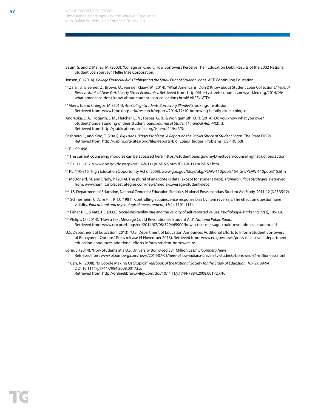- Baum, S. and O'Malley, M. (2003). "College on Credit: How Borrowers Perceive Their Education Debt: Results of the 2002 National Student Loan Survey". Nellie Mae Corporation.
- Jensen, C. (2014). *College Financial Aid: Highlighting the Small Print of Student Loans*. ACE Continuing Education.
- xiv Zafar, B., Bleemer, Z., Brown, M., van der Klaaw, W. (2014). "What Americans (Don't) Know about Student Loan Collections." *Federal Reserve Bank of New York Liberty Street Economics*. Retrieved from: http://libertystreeteconomics.newyorkfed.org/2014/06/ what-americans-dont-know-about-student-loan-collections.html#.VKPFvIVTDsl
- xv Akers, E. and Chingos, M. (2014). *Are College Students Borrowing Blindly?* Brookings Institution. Retrieved from: www.brookings.edu/research/reports/2014/12/10-borrowing-blindly-akers-chingos
- Andruska, E. A., Hogarth, J. M., Fletcher, C. N., Forbes, G. R., & Wohlgemuth, D. R. (2014). Do you know what you owe? Students' understanding of their student loans. *Journal of Student Financial Aid, 44*(2), 3. Retrieved from: http://publications.nasfaa.org/jsfa/vol44/iss2/3/
- Frishberg, I., and King, T. (2001). *Big Loans, Bigger Problems: A Report on the Sticker Shock of Student Loans*. The State PIRGs. Retrieved from: http://uspirg.org/sites/pirg/files/reports/Big\_Loans\_Bigger\_Problems\_USPIRG.pdf
- xvi P.L. 99-498.
- xvii The current counseling modules can be accessed here: https://studentloans.gov/myDirectLoan/counselingInstructions.action
- xviii P.L. 111-152. www.gpo.gov/fdsys/pkg/PLAW-111publ152/html/PLAW-111publ152.htm
- xix P.L. 110-315 (High Education Opportunity Act of 2008). www.gpo.gov/fdsys/pkg/PLAW-110publ315/html/PLAW-110publ315.htm
- xxi McDonald, M. and Brady, P. (2014). The plural of anecdote is data (except for student debt). *Hamilton Place Strategies*. Retrieved from: www.hamiltonplacestrategies.com/news/media-coverage-student-debt
- xxii U.S. Department of Education, National Center for Education Statistics, National Postsecondary Student Aid Study, 2011-12 (NPSAS:12).
- xxiii Schriesheim, C. A., & Hill, K. D. (1981). Controlling acquiescence response bias by item reversals: The effect on questionnaire validity. *Educational and psychological measurement, 41*(4), 1101-1114.
- xxiv Fisher, R. J., & Katz, J. E. (2000). Social-desirability bias and the validity of self-reported values. *Psychology & Marketing, 17*(2), 105-120.
- xxv Philips, O. (2014). "How a Text Message Could Revolutionize Student Aid". *National Public Radio*. Retrieved from: www.npr.org/blogs/ed/2014/07/08/329465900/how-a-text-message-could-revolutionize-student-aid
- U.S. Department of Education (2013). "U.S. Department of Education Announces Additional Efforts to Inform Student Borrowers of Repayment Options". Press release (4 November 2013). Retrieved from: www.ed.gov/news/press-releases/us-departmenteducation-announces-additional-efforts-inform-student-borrowers-re
- Lorin, J. (2014). "How Students at a U.S. University Borrowed \$31 Million Less". *Bloomberg News*. Retrieved from: www.bloomberg.com/news/2014-07-03/here-s-how-indiana-university-students-borrowed-31-million-less.html
- xxvi Carr, N. (2008). "Is Google Making Us Stupid?" *Yearbook of the National Society for the Study of Education, 107*(2), 89-94. DOI:10.1111/j.1744-7984.2008.00172.x.

Retrieved from: http://onlinelibrary.wiley.com/doi/10.1111/j.1744-7984.2008.00172.x/full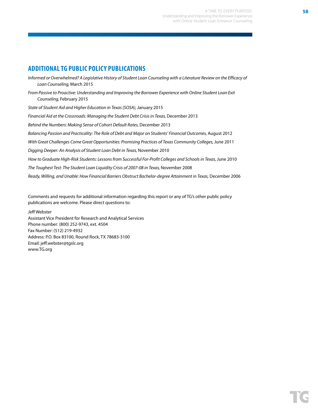## **ADDITIONAL TG PUBLIC POLICY PUBLICATIONS**

*Informed or Overwhelmed? A Legislative History of Student Loan Counseling with a Literature Review on the Efficacy of Loan Counseling,* March 2015 *From Passive to Proactive: Understanding and Improving the Borrower Experience with Online Student Loan Exit Counseling,* February 2015 *State of Student Aid and Higher Education in Texas (SOSA),* January 2015 *Financial Aid at the Crossroads: Managing the Student Debt Crisis in Texas,* December 2013 *Behind the Numbers: Making Sense of Cohort Default Rates,* December 2013 *Balancing Passion and Practicality: The Role of Debt and Major on Students' Financial Outcomes,* August 2012 With Great Challenges Come Great Opportunities: Promising Practices of Texas Community Colleges, June 2011 *Digging Deeper: An Analysis of Student Loan Debt in Texas,* November 2010 *How to Graduate High-Risk Students: Lessons from Successful For-Profit Colleges and Schools in Texas, June 2010 The Toughest Test: The Student Loan Liquidity Crisis of 2007-08 in Texas,* November 2008 *Ready, Willing, and Unable: How Financial Barriers Obstruct Bachelor-degree Attainment in Texas,* December 2006

Comments and requests for additional information regarding this report or any of TG's other public policy publications are welcome. Please direct questions to:

Jeff Webster Assistant Vice President for Research and Analytical Services Phone number: (800) 252-9743, ext. 4504 Fax Number: (512) 219-4932 Address: P.O. Box 83100, Round Rock, TX 78683-3100 Email: jeff.webster@tgslc.org www.TG.org